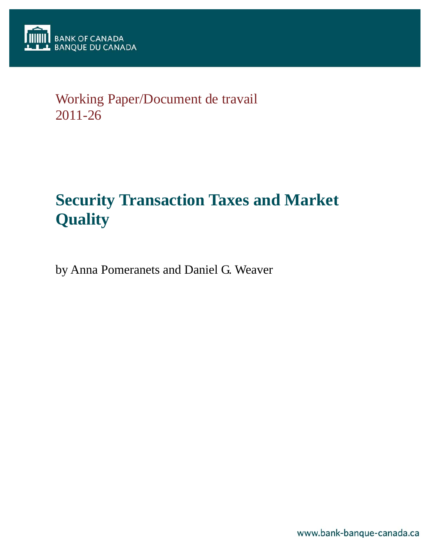

## Working Paper/Document de travail 2011-26

# **Security Transaction Taxes and Market Quality**

by Anna Pomeranets and Daniel G. Weaver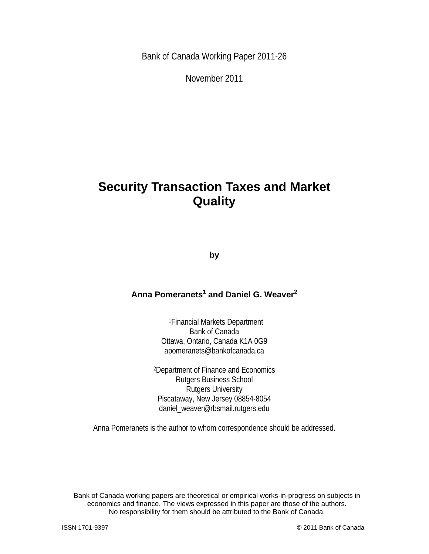Bank of Canada Working Paper 2011-26

November 2011

## **Security Transaction Taxes and Market Quality**

**by** 

## Anna Pomeranets<sup>1</sup> and Daniel G. Weaver<sup>2</sup>

1Financial Markets Department Bank of Canada Ottawa, Ontario, Canada K1A 0G9 apomeranets@bankofcanada.ca

2Department of Finance and Economics Rutgers Business School Rutgers University Piscataway, New Jersey 08854-8054 daniel\_weaver@rbsmail.rutgers.edu

Anna Pomeranets is the author to whom correspondence should be addressed.

Bank of Canada working papers are theoretical or empirical works-in-progress on subjects in economics and finance. The views expressed in this paper are those of the authors. No responsibility for them should be attributed to the Bank of Canada.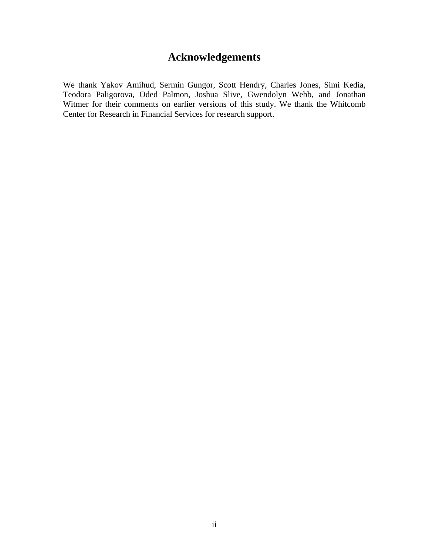## **Acknowledgements**

We thank Yakov Amihud, Sermin Gungor, Scott Hendry, Charles Jones, Simi Kedia, Teodora Paligorova, Oded Palmon, Joshua Slive, Gwendolyn Webb, and Jonathan Witmer for their comments on earlier versions of this study. We thank the Whitcomb Center for Research in Financial Services for research support.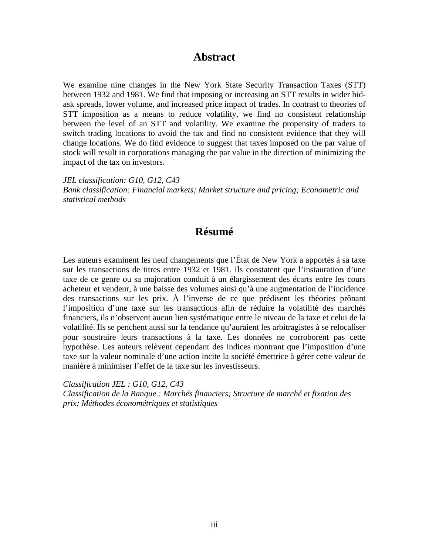## **Abstract**

We examine nine changes in the New York State Security Transaction Taxes (STT) between 1932 and 1981. We find that imposing or increasing an STT results in wider bidask spreads, lower volume, and increased price impact of trades. In contrast to theories of STT imposition as a means to reduce volatility, we find no consistent relationship between the level of an STT and volatility. We examine the propensity of traders to switch trading locations to avoid the tax and find no consistent evidence that they will change locations. We do find evidence to suggest that taxes imposed on the par value of stock will result in corporations managing the par value in the direction of minimizing the impact of the tax on investors.

*JEL classification: G10, G12, C43 Bank classification: Financial markets; Market structure and pricing; Econometric and statistical methods* 

## **Résumé**

Les auteurs examinent les neuf changements que l'État de New York a apportés à sa taxe sur les transactions de titres entre 1932 et 1981. Ils constatent que l'instauration d'une taxe de ce genre ou sa majoration conduit à un élargissement des écarts entre les cours acheteur et vendeur, à une baisse des volumes ainsi qu'à une augmentation de l'incidence des transactions sur les prix. À l'inverse de ce que prédisent les théories prônant l'imposition d'une taxe sur les transactions afin de réduire la volatilité des marchés financiers, ils n'observent aucun lien systématique entre le niveau de la taxe et celui de la volatilité. Ils se penchent aussi sur la tendance qu'auraient les arbitragistes à se relocaliser pour soustraire leurs transactions à la taxe. Les données ne corroborent pas cette hypothèse. Les auteurs relèvent cependant des indices montrant que l'imposition d'une taxe sur la valeur nominale d'une action incite la société émettrice à gérer cette valeur de manière à minimiser l'effet de la taxe sur les investisseurs.

*Classification JEL : G10, G12, C43 Classification de la Banque : Marchés financiers; Structure de marché et fixation des prix; Méthodes économétriques et statistiques*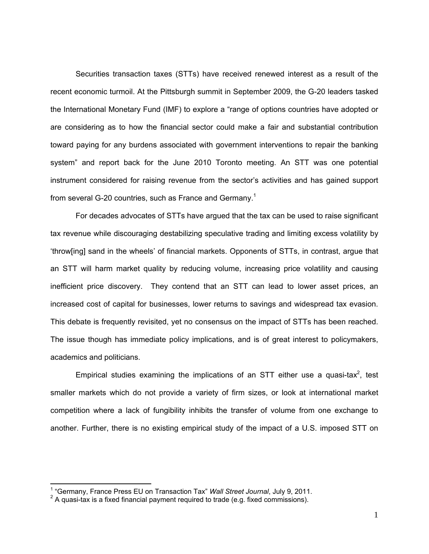Securities transaction taxes (STTs) have received renewed interest as a result of the recent economic turmoil. At the Pittsburgh summit in September 2009, the G-20 leaders tasked the International Monetary Fund (IMF) to explore a "range of options countries have adopted or are considering as to how the financial sector could make a fair and substantial contribution toward paying for any burdens associated with government interventions to repair the banking system" and report back for the June 2010 Toronto meeting. An STT was one potential instrument considered for raising revenue from the sector's activities and has gained support from several G-20 countries, such as France and Germany.<sup>1</sup>

For decades advocates of STTs have argued that the tax can be used to raise significant tax revenue while discouraging destabilizing speculative trading and limiting excess volatility by 'throw[ing] sand in the wheels' of financial markets. Opponents of STTs, in contrast, argue that an STT will harm market quality by reducing volume, increasing price volatility and causing inefficient price discovery. They contend that an STT can lead to lower asset prices, an increased cost of capital for businesses, lower returns to savings and widespread tax evasion. This debate is frequently revisited, yet no consensus on the impact of STTs has been reached. The issue though has immediate policy implications, and is of great interest to policymakers, academics and politicians.

Empirical studies examining the implications of an STT either use a quasi-tax<sup>2</sup>, test smaller markets which do not provide a variety of firm sizes, or look at international market competition where a lack of fungibility inhibits the transfer of volume from one exchange to another. Further, there is no existing empirical study of the impact of a U.S. imposed STT on

<sup>&</sup>lt;sup>1</sup> "Germany, France Press EU on Transaction Tax" *Wall Street Journal*, July 9, 2011.<br><sup>2</sup> A quesi tox is a fixed financial pour part required to trade (e.g. fixed commissions).

 $2 \text{ A quasi-tax}$  is a fixed financial payment required to trade (e.g. fixed commissions).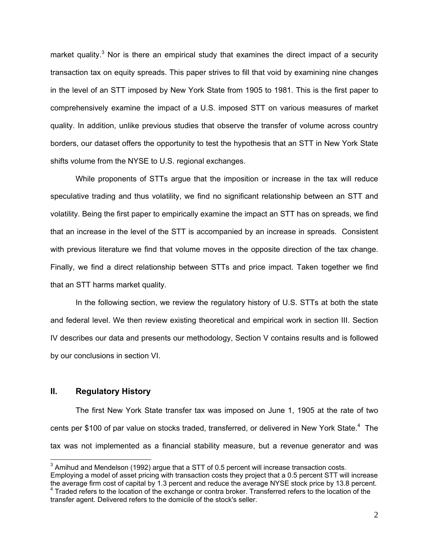market quality.<sup>3</sup> Nor is there an empirical study that examines the direct impact of a security transaction tax on equity spreads. This paper strives to fill that void by examining nine changes in the level of an STT imposed by New York State from 1905 to 1981. This is the first paper to comprehensively examine the impact of a U.S. imposed STT on various measures of market quality. In addition, unlike previous studies that observe the transfer of volume across country borders, our dataset offers the opportunity to test the hypothesis that an STT in New York State shifts volume from the NYSE to U.S. regional exchanges.

While proponents of STTs argue that the imposition or increase in the tax will reduce speculative trading and thus volatility, we find no significant relationship between an STT and volatility. Being the first paper to empirically examine the impact an STT has on spreads, we find that an increase in the level of the STT is accompanied by an increase in spreads. Consistent with previous literature we find that volume moves in the opposite direction of the tax change. Finally, we find a direct relationship between STTs and price impact. Taken together we find that an STT harms market quality.

In the following section, we review the regulatory history of U.S. STTs at both the state and federal level. We then review existing theoretical and empirical work in section III. Section IV describes our data and presents our methodology, Section V contains results and is followed by our conclusions in section VI.

#### **II. Regulatory History**

The first New York State transfer tax was imposed on June 1, 1905 at the rate of two cents per \$100 of par value on stocks traded, transferred, or delivered in New York State.<sup>4</sup> The tax was not implemented as a financial stability measure, but a revenue generator and was

 3 Amihud and Mendelson (1992) argue that a STT of 0.5 percent will increase transaction costs. Employing a model of asset pricing with transaction costs they project that a 0.5 percent STT will increase the average firm cost of capital by 1.3 percent and reduce the average NYSE stock price by 13.8 percent. 4 Traded refers to the location of the exchange or contra broker. Transferred refers to the location of the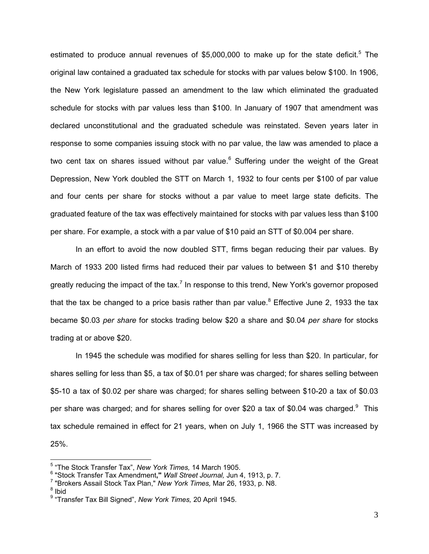estimated to produce annual revenues of \$5,000,000 to make up for the state deficit.<sup>5</sup> The original law contained a graduated tax schedule for stocks with par values below \$100. In 1906, the New York legislature passed an amendment to the law which eliminated the graduated schedule for stocks with par values less than \$100. In January of 1907 that amendment was declared unconstitutional and the graduated schedule was reinstated. Seven years later in response to some companies issuing stock with no par value, the law was amended to place a two cent tax on shares issued without par value. $6$  Suffering under the weight of the Great Depression, New York doubled the STT on March 1, 1932 to four cents per \$100 of par value and four cents per share for stocks without a par value to meet large state deficits. The graduated feature of the tax was effectively maintained for stocks with par values less than \$100 per share. For example, a stock with a par value of \$10 paid an STT of \$0.004 per share.

In an effort to avoid the now doubled STT, firms began reducing their par values. By March of 1933 200 listed firms had reduced their par values to between \$1 and \$10 thereby greatly reducing the impact of the tax.<sup>7</sup> In response to this trend, New York's governor proposed that the tax be changed to a price basis rather than par value.<sup>8</sup> Effective June 2, 1933 the tax became \$0.03 *per share* for stocks trading below \$20 a share and \$0.04 *per share* for stocks trading at or above \$20.

In 1945 the schedule was modified for shares selling for less than \$20. In particular, for shares selling for less than \$5, a tax of \$0.01 per share was charged; for shares selling between \$5-10 a tax of \$0.02 per share was charged; for shares selling between \$10-20 a tax of \$0.03 per share was charged; and for shares selling for over \$20 a tax of \$0.04 was charged. $9$  This tax schedule remained in effect for 21 years, when on July 1, 1966 the STT was increased by 25%.

 $8$  Ibid

<sup>5</sup> "The Stock Transfer Tax", *New York Times,* 14 March 1905.

<sup>&</sup>lt;sup>6</sup> "Stock Transfer Tax Amendment," *Wall Street Journal, J*un 4, 1913, p. 7.<br><sup>7</sup> "Prekers Assail Stock Tay Plan " *Naw York Times, Mar 36, 1933*, p. N9

<sup>&</sup>lt;sup>7</sup> "Brokers Assail Stock Tax Plan," *New York Times, Mar 26, 1933, p. N8.* 

<sup>9</sup> "Transfer Tax Bill Signed", *New York Times,* 20 April 1945.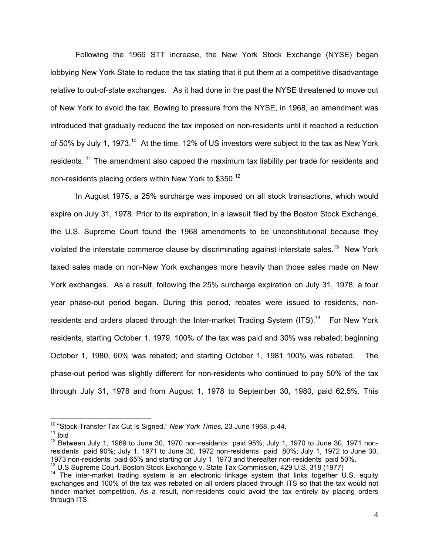Following the 1966 STT increase, the New York Stock Exchange (NYSE) began lobbying New York State to reduce the tax stating that it put them at a competitive disadvantage relative to out-of-state exchanges. As it had done in the past the NYSE threatened to move out of New York to avoid the tax. Bowing to pressure from the NYSE, in 1968, an amendment was introduced that gradually reduced the tax imposed on non-residents until it reached a reduction of 50% by July 1, 1973.<sup>10</sup> At the time, 12% of US investors were subject to the tax as New York residents.<sup>11</sup> The amendment also capped the maximum tax liability per trade for residents and non-residents placing orders within New York to \$350.<sup>12</sup>

In August 1975, a 25% surcharge was imposed on all stock transactions, which would expire on July 31, 1978. Prior to its expiration, in a lawsuit filed by the Boston Stock Exchange, the U.S. Supreme Court found the 1968 amendments to be unconstitutional because they violated the interstate commerce clause by discriminating against interstate sales.<sup>13</sup> New York taxed sales made on non-New York exchanges more heavily than those sales made on New York exchanges. As a result, following the 25% surcharge expiration on July 31, 1978, a four year phase-out period began. During this period, rebates were issued to residents, nonresidents and orders placed through the Inter-market Trading System (ITS).<sup>14</sup> For New York residents, starting October 1, 1979, 100% of the tax was paid and 30% was rebated; beginning October 1, 1980, 60% was rebated; and starting October 1, 1981 100% was rebated. The phase-out period was slightly different for non-residents who continued to pay 50% of the tax through July 31, 1978 and from August 1, 1978 to September 30, 1980, paid 62.5%. This

<sup>10</sup> "Stock-Transfer Tax Cut Is Signed," *New York Times,* 23 June 1968, p.44.

 $11$  Ibid

<sup>&</sup>lt;sup>12</sup> Between July 1, 1969 to June 30, 1970 non-residents paid 95%; July 1, 1970 to June 30, 1971 nonresidents paid 90%; July 1, 1971 to June 30, 1972 non-residents paid 80%; July 1, 1972 to June 30, 1973 non-residents paid 65% and starting on July 1, 1973 and thereafter non-residents paid 50%.

 $^{13}$  U.S Supreme Court. Boston Stock Exchange v. State Tax Commission, 429 U.S. 318 (1977)<br><sup>14</sup> The inter-market trading system is an electronic linkage system that links together U.S. equity exchanges and 100% of the tax was rebated on all orders placed through ITS so that the tax would not hinder market competition. As a result, non-residents could avoid the tax entirely by placing orders through ITS.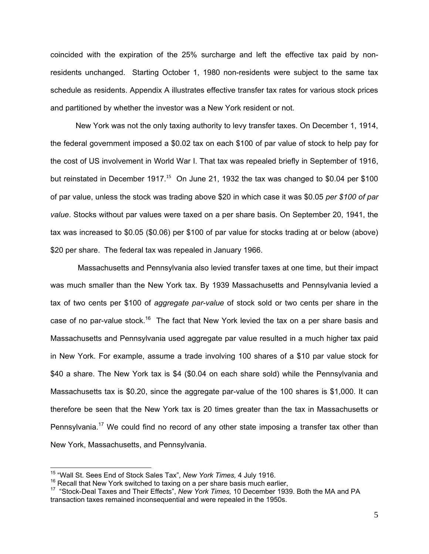coincided with the expiration of the 25% surcharge and left the effective tax paid by nonresidents unchanged. Starting October 1, 1980 non-residents were subject to the same tax schedule as residents. Appendix A illustrates effective transfer tax rates for various stock prices and partitioned by whether the investor was a New York resident or not.

New York was not the only taxing authority to levy transfer taxes. On December 1, 1914, the federal government imposed a \$0.02 tax on each \$100 of par value of stock to help pay for the cost of US involvement in World War I. That tax was repealed briefly in September of 1916, but reinstated in December 1917.<sup>15</sup> On June 21, 1932 the tax was changed to \$0.04 per \$100 of par value, unless the stock was trading above \$20 in which case it was \$0.05 *per \$100 of par value*. Stocks without par values were taxed on a per share basis. On September 20, 1941, the tax was increased to \$0.05 (\$0.06) per \$100 of par value for stocks trading at or below (above) \$20 per share. The federal tax was repealed in January 1966.

 Massachusetts and Pennsylvania also levied transfer taxes at one time, but their impact was much smaller than the New York tax. By 1939 Massachusetts and Pennsylvania levied a tax of two cents per \$100 of *aggregate par-value* of stock sold or two cents per share in the case of no par-value stock.<sup>16</sup> The fact that New York levied the tax on a per share basis and Massachusetts and Pennsylvania used aggregate par value resulted in a much higher tax paid in New York. For example, assume a trade involving 100 shares of a \$10 par value stock for \$40 a share. The New York tax is \$4 (\$0.04 on each share sold) while the Pennsylvania and Massachusetts tax is \$0.20, since the aggregate par-value of the 100 shares is \$1,000. It can therefore be seen that the New York tax is 20 times greater than the tax in Massachusetts or Pennsylvania.<sup>17</sup> We could find no record of any other state imposing a transfer tax other than New York, Massachusetts, and Pennsylvania.

<sup>&</sup>lt;sup>15</sup> "Wall St. Sees End of Stock Sales Tax", New York Times, 4 July 1916.

<sup>&</sup>lt;sup>16</sup> Recall that New York switched to taxing on a per share basis much earlier,<br><sup>17</sup> "Stock-Deal Taxes and Their Effects", New York Times, 10 December 1939. Both the MA and PA transaction taxes remained inconsequential and were repealed in the 1950s.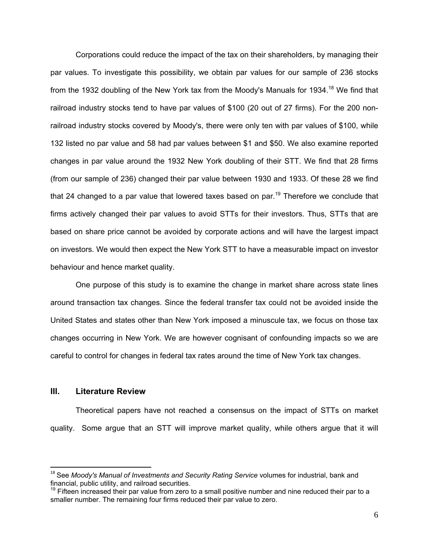Corporations could reduce the impact of the tax on their shareholders, by managing their par values. To investigate this possibility, we obtain par values for our sample of 236 stocks from the 1932 doubling of the New York tax from the Moody's Manuals for 1934.<sup>18</sup> We find that railroad industry stocks tend to have par values of \$100 (20 out of 27 firms). For the 200 nonrailroad industry stocks covered by Moody's, there were only ten with par values of \$100, while 132 listed no par value and 58 had par values between \$1 and \$50. We also examine reported changes in par value around the 1932 New York doubling of their STT. We find that 28 firms (from our sample of 236) changed their par value between 1930 and 1933. Of these 28 we find that 24 changed to a par value that lowered taxes based on par.<sup>19</sup> Therefore we conclude that firms actively changed their par values to avoid STTs for their investors. Thus, STTs that are based on share price cannot be avoided by corporate actions and will have the largest impact on investors. We would then expect the New York STT to have a measurable impact on investor behaviour and hence market quality.

One purpose of this study is to examine the change in market share across state lines around transaction tax changes. Since the federal transfer tax could not be avoided inside the United States and states other than New York imposed a minuscule tax, we focus on those tax changes occurring in New York. We are however cognisant of confounding impacts so we are careful to control for changes in federal tax rates around the time of New York tax changes.

#### **III. Literature Review**

Theoretical papers have not reached a consensus on the impact of STTs on market quality. Some argue that an STT will improve market quality, while others argue that it will

<sup>&</sup>lt;sup>18</sup> See *Moody's Manual of Investments and Security Rating Service volumes for industrial, bank and* financial, public utility, and railroad securities.

 $19$  Fifteen increased their par value from zero to a small positive number and nine reduced their par to a smaller number. The remaining four firms reduced their par value to zero.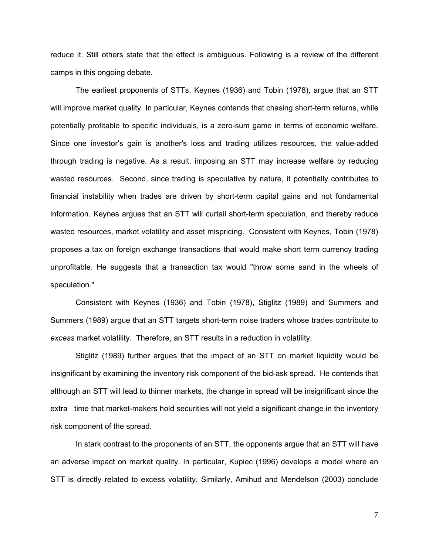reduce it. Still others state that the effect is ambiguous. Following is a review of the different camps in this ongoing debate.

The earliest proponents of STTs, Keynes (1936) and Tobin (1978), argue that an STT will improve market quality. In particular, Keynes contends that chasing short-term returns, while potentially profitable to specific individuals, is a zero-sum game in terms of economic welfare. Since one investor's gain is another's loss and trading utilizes resources, the value-added through trading is negative. As a result, imposing an STT may increase welfare by reducing wasted resources. Second, since trading is speculative by nature, it potentially contributes to financial instability when trades are driven by short-term capital gains and not fundamental information. Keynes argues that an STT will curtail short-term speculation, and thereby reduce wasted resources, market volatility and asset mispricing. Consistent with Keynes, Tobin (1978) proposes a tax on foreign exchange transactions that would make short term currency trading unprofitable. He suggests that a transaction tax would "throw some sand in the wheels of speculation."

Consistent with Keynes (1936) and Tobin (1978), Stiglitz (1989) and Summers and Summers (1989) argue that an STT targets short-term noise traders whose trades contribute to *excess* market volatility. Therefore, an STT results in a reduction in volatility.

Stiglitz (1989) further argues that the impact of an STT on market liquidity would be insignificant by examining the inventory risk component of the bid-ask spread. He contends that although an STT will lead to thinner markets, the change in spread will be insignificant since the extra time that market-makers hold securities will not yield a significant change in the inventory risk component of the spread.

In stark contrast to the proponents of an STT, the opponents argue that an STT will have an adverse impact on market quality. In particular, Kupiec (1996) develops a model where an STT is directly related to excess volatility. Similarly, Amihud and Mendelson (2003) conclude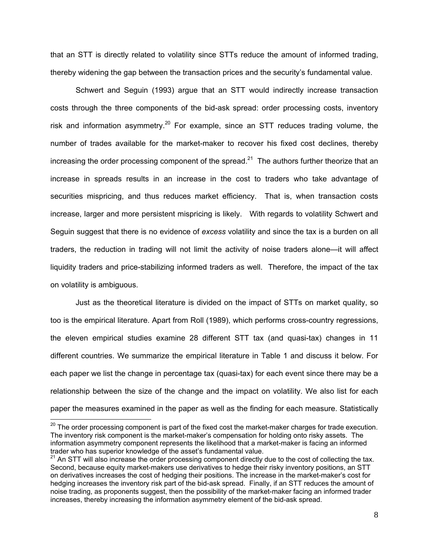that an STT is directly related to volatility since STTs reduce the amount of informed trading, thereby widening the gap between the transaction prices and the security's fundamental value.

Schwert and Seguin (1993) argue that an STT would indirectly increase transaction costs through the three components of the bid-ask spread: order processing costs, inventory risk and information asymmetry.<sup>20</sup> For example, since an STT reduces trading volume, the number of trades available for the market-maker to recover his fixed cost declines, thereby increasing the order processing component of the spread.<sup>21</sup> The authors further theorize that an increase in spreads results in an increase in the cost to traders who take advantage of securities mispricing, and thus reduces market efficiency. That is, when transaction costs increase, larger and more persistent mispricing is likely. With regards to volatility Schwert and Seguin suggest that there is no evidence of *excess* volatility and since the tax is a burden on all traders, the reduction in trading will not limit the activity of noise traders alone—it will affect liquidity traders and price-stabilizing informed traders as well. Therefore, the impact of the tax on volatility is ambiguous.

Just as the theoretical literature is divided on the impact of STTs on market quality, so too is the empirical literature. Apart from Roll (1989), which performs cross-country regressions, the eleven empirical studies examine 28 different STT tax (and quasi-tax) changes in 11 different countries. We summarize the empirical literature in Table 1 and discuss it below. For each paper we list the change in percentage tax (quasi-tax) for each event since there may be a relationship between the size of the change and the impact on volatility. We also list for each paper the measures examined in the paper as well as the finding for each measure. Statistically

<sup>&</sup>lt;sup>20</sup> The order processing component is part of the fixed cost the market-maker charges for trade execution. The inventory risk component is the market-maker's compensation for holding onto risky assets. The information asymmetry component represents the likelihood that a market-maker is facing an informed trader who has superior knowledge of the asset's fundamental value.

<sup>&</sup>lt;sup>21</sup> An STT will also increase the order processing component directly due to the cost of collecting the tax. Second, because equity market-makers use derivatives to hedge their risky inventory positions, an STT on derivatives increases the cost of hedging their positions. The increase in the market-maker's cost for hedging increases the inventory risk part of the bid-ask spread. Finally, if an STT reduces the amount of noise trading, as proponents suggest, then the possibility of the market-maker facing an informed trader increases, thereby increasing the information asymmetry element of the bid-ask spread.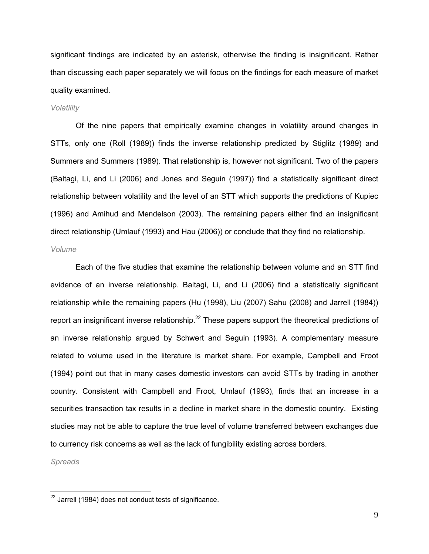significant findings are indicated by an asterisk, otherwise the finding is insignificant. Rather than discussing each paper separately we will focus on the findings for each measure of market quality examined.

#### *Volatility*

Of the nine papers that empirically examine changes in volatility around changes in STTs, only one (Roll (1989)) finds the inverse relationship predicted by Stiglitz (1989) and Summers and Summers (1989). That relationship is, however not significant. Two of the papers (Baltagi, Li, and Li (2006) and Jones and Seguin (1997)) find a statistically significant direct relationship between volatility and the level of an STT which supports the predictions of Kupiec (1996) and Amihud and Mendelson (2003). The remaining papers either find an insignificant direct relationship (Umlauf (1993) and Hau (2006)) or conclude that they find no relationship.

#### *Volume*

Each of the five studies that examine the relationship between volume and an STT find evidence of an inverse relationship. Baltagi, Li, and Li (2006) find a statistically significant relationship while the remaining papers (Hu (1998), Liu (2007) Sahu (2008) and Jarrell (1984)) report an insignificant inverse relationship.<sup>22</sup> These papers support the theoretical predictions of an inverse relationship argued by Schwert and Seguin (1993). A complementary measure related to volume used in the literature is market share. For example, Campbell and Froot (1994) point out that in many cases domestic investors can avoid STTs by trading in another country. Consistent with Campbell and Froot, Umlauf (1993), finds that an increase in a securities transaction tax results in a decline in market share in the domestic country. Existing studies may not be able to capture the true level of volume transferred between exchanges due to currency risk concerns as well as the lack of fungibility existing across borders.

*Spreads* 

 $^{22}$  Jarrell (1984) does not conduct tests of significance.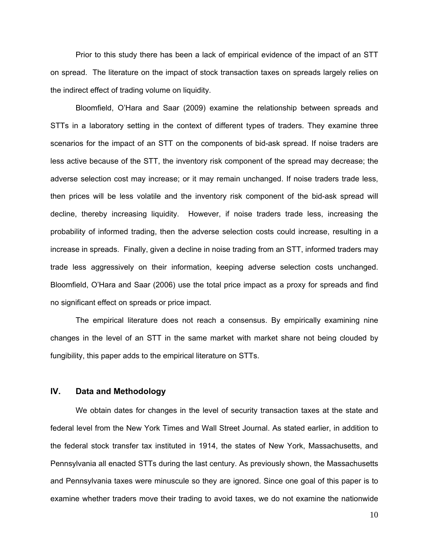Prior to this study there has been a lack of empirical evidence of the impact of an STT on spread. The literature on the impact of stock transaction taxes on spreads largely relies on the indirect effect of trading volume on liquidity.

Bloomfield, O'Hara and Saar (2009) examine the relationship between spreads and STTs in a laboratory setting in the context of different types of traders. They examine three scenarios for the impact of an STT on the components of bid-ask spread. If noise traders are less active because of the STT, the inventory risk component of the spread may decrease; the adverse selection cost may increase; or it may remain unchanged. If noise traders trade less, then prices will be less volatile and the inventory risk component of the bid-ask spread will decline, thereby increasing liquidity. However, if noise traders trade less, increasing the probability of informed trading, then the adverse selection costs could increase, resulting in a increase in spreads. Finally, given a decline in noise trading from an STT, informed traders may trade less aggressively on their information, keeping adverse selection costs unchanged. Bloomfield, O'Hara and Saar (2006) use the total price impact as a proxy for spreads and find no significant effect on spreads or price impact.

The empirical literature does not reach a consensus. By empirically examining nine changes in the level of an STT in the same market with market share not being clouded by fungibility, this paper adds to the empirical literature on STTs.

#### **IV. Data and Methodology**

We obtain dates for changes in the level of security transaction taxes at the state and federal level from the New York Times and Wall Street Journal. As stated earlier, in addition to the federal stock transfer tax instituted in 1914, the states of New York, Massachusetts, and Pennsylvania all enacted STTs during the last century. As previously shown, the Massachusetts and Pennsylvania taxes were minuscule so they are ignored. Since one goal of this paper is to examine whether traders move their trading to avoid taxes, we do not examine the nationwide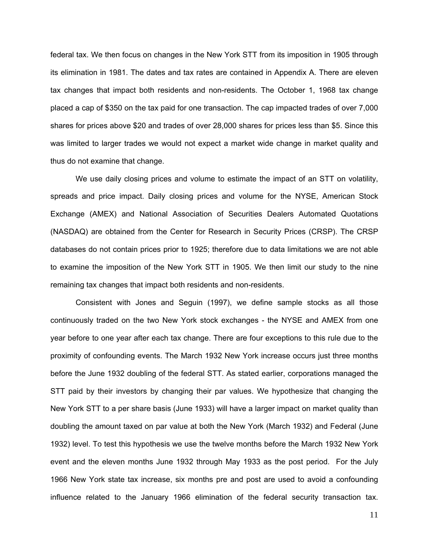federal tax. We then focus on changes in the New York STT from its imposition in 1905 through its elimination in 1981. The dates and tax rates are contained in Appendix A. There are eleven tax changes that impact both residents and non-residents. The October 1, 1968 tax change placed a cap of \$350 on the tax paid for one transaction. The cap impacted trades of over 7,000 shares for prices above \$20 and trades of over 28,000 shares for prices less than \$5. Since this was limited to larger trades we would not expect a market wide change in market quality and thus do not examine that change.

We use daily closing prices and volume to estimate the impact of an STT on volatility, spreads and price impact. Daily closing prices and volume for the NYSE, American Stock Exchange (AMEX) and National Association of Securities Dealers Automated Quotations (NASDAQ) are obtained from the Center for Research in Security Prices (CRSP). The CRSP databases do not contain prices prior to 1925; therefore due to data limitations we are not able to examine the imposition of the New York STT in 1905. We then limit our study to the nine remaining tax changes that impact both residents and non-residents.

Consistent with Jones and Seguin (1997), we define sample stocks as all those continuously traded on the two New York stock exchanges - the NYSE and AMEX from one year before to one year after each tax change. There are four exceptions to this rule due to the proximity of confounding events. The March 1932 New York increase occurs just three months before the June 1932 doubling of the federal STT. As stated earlier, corporations managed the STT paid by their investors by changing their par values. We hypothesize that changing the New York STT to a per share basis (June 1933) will have a larger impact on market quality than doubling the amount taxed on par value at both the New York (March 1932) and Federal (June 1932) level. To test this hypothesis we use the twelve months before the March 1932 New York event and the eleven months June 1932 through May 1933 as the post period. For the July 1966 New York state tax increase, six months pre and post are used to avoid a confounding influence related to the January 1966 elimination of the federal security transaction tax.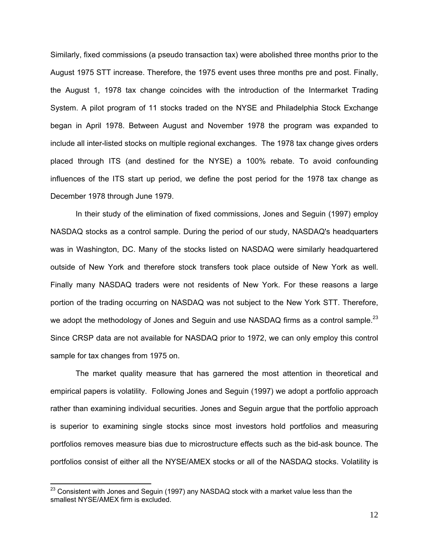Similarly, fixed commissions (a pseudo transaction tax) were abolished three months prior to the August 1975 STT increase. Therefore, the 1975 event uses three months pre and post. Finally, the August 1, 1978 tax change coincides with the introduction of the Intermarket Trading System. A pilot program of 11 stocks traded on the NYSE and Philadelphia Stock Exchange began in April 1978. Between August and November 1978 the program was expanded to include all inter-listed stocks on multiple regional exchanges. The 1978 tax change gives orders placed through ITS (and destined for the NYSE) a 100% rebate. To avoid confounding influences of the ITS start up period, we define the post period for the 1978 tax change as December 1978 through June 1979.

In their study of the elimination of fixed commissions, Jones and Seguin (1997) employ NASDAQ stocks as a control sample. During the period of our study, NASDAQ's headquarters was in Washington, DC. Many of the stocks listed on NASDAQ were similarly headquartered outside of New York and therefore stock transfers took place outside of New York as well. Finally many NASDAQ traders were not residents of New York. For these reasons a large portion of the trading occurring on NASDAQ was not subject to the New York STT. Therefore, we adopt the methodology of Jones and Seguin and use NASDAQ firms as a control sample.<sup>23</sup> Since CRSP data are not available for NASDAQ prior to 1972, we can only employ this control sample for tax changes from 1975 on.

The market quality measure that has garnered the most attention in theoretical and empirical papers is volatility. Following Jones and Seguin (1997) we adopt a portfolio approach rather than examining individual securities. Jones and Seguin argue that the portfolio approach is superior to examining single stocks since most investors hold portfolios and measuring portfolios removes measure bias due to microstructure effects such as the bid-ask bounce. The portfolios consist of either all the NYSE/AMEX stocks or all of the NASDAQ stocks. Volatility is

<u> 1980 - Andrea Albert III, am bhliain 1980 - An t-Aontaithe ann an t-Aontaithe ann an t-Aontaithe ann an t-Aon</u>

 $^{23}$  Consistent with Jones and Seguin (1997) any NASDAQ stock with a market value less than the smallest NYSE/AMEX firm is excluded.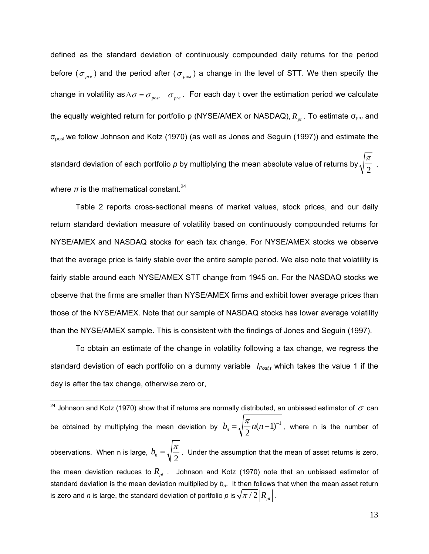defined as the standard deviation of continuously compounded daily returns for the period before ( $\sigma_{pre}$ ) and the period after ( $\sigma_{post}$ ) a change in the level of STT. We then specify the change in volatility as  $\Delta \sigma = \sigma_{\text{post}} - \sigma_{\text{pre}}$ . For each day t over the estimation period we calculate the equally weighted return for portfolio p (NYSE/AMEX or NASDAQ),  $R_{nt}$ . To estimate  $\sigma_{pre}$  and σpost we follow Johnson and Kotz (1970) (as well as Jones and Seguin (1997)) and estimate the standard deviation of each portfolio *p* by multiplying the mean absolute value of returns by  $\sqrt{\frac{\pi}{2}}$  , where  $\pi$  is the mathematical constant.<sup>24</sup>

Table 2 reports cross-sectional means of market values, stock prices, and our daily return standard deviation measure of volatility based on continuously compounded returns for NYSE/AMEX and NASDAQ stocks for each tax change. For NYSE/AMEX stocks we observe that the average price is fairly stable over the entire sample period. We also note that volatility is fairly stable around each NYSE/AMEX STT change from 1945 on. For the NASDAQ stocks we observe that the firms are smaller than NYSE/AMEX firms and exhibit lower average prices than those of the NYSE/AMEX. Note that our sample of NASDAQ stocks has lower average volatility than the NYSE/AMEX sample. This is consistent with the findings of Jones and Seguin (1997).

To obtain an estimate of the change in volatility following a tax change, we regress the standard deviation of each portfolio on a dummy variable *I<sub>Postt</sub>* which takes the value 1 if the day is after the tax change, otherwise zero or,

<sup>24</sup> Johnson and Kotz (1970) show that if returns are normally distributed, an unbiased estimator of  $\sigma$  can be obtained by multiplying the mean deviation by  $b_n = \sqrt{\frac{\pi}{2}} n(n-1)^{-1}$ , where n is the number of observations. When n is large,  $b_n = \sqrt{\frac{\pi}{2}}$ . Under the assumption that the mean of asset returns is zero, the mean deviation reduces to  $|R_{pt}|$ . Johnson and Kotz (1970) note that an unbiased estimator of standard deviation is the mean deviation multiplied by  $b_n$ . It then follows that when the mean asset return is zero and *n* is large, the standard deviation of portfolio *p* is  $\sqrt{\pi}/2\left|R_{pt}\right|$ .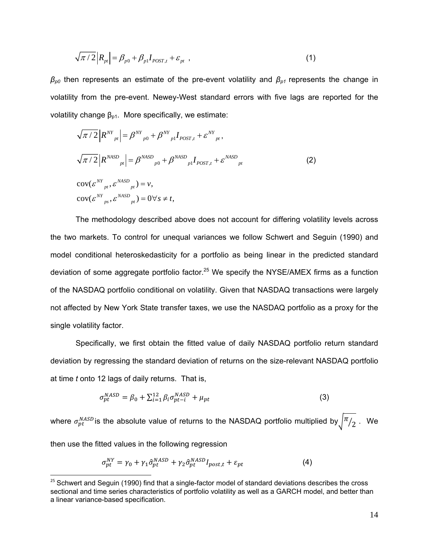$$
\sqrt{\pi/2} |R_{pt}| = \beta_{p0} + \beta_{p1} I_{POST,t} + \varepsilon_{pt} , \qquad (1)
$$

 $\beta_{p0}$  then represents an estimate of the pre-event volatility and  $\beta_{p1}$  represents the change in volatility from the pre-event. Newey-West standard errors with five lags are reported for the volatility change  $β_{p1}$ . More specifically, we estimate:

$$
\sqrt{\pi/2} |R^{NY}{}_{pt}| = \beta^{NY}{}_{p0} + \beta^{NY}{}_{p1} I_{POST, t} + \varepsilon^{NY}{}_{pt},
$$
  

$$
\sqrt{\pi/2} |R^{NASD}{}_{pt}| = \beta^{NASD}{}_{p0} + \beta^{NASD}{}_{p1} I_{POST, t} + \varepsilon^{NASD}{}_{pt}
$$
  

$$
cov(\varepsilon^{NY}{}_{pt}, \varepsilon^{NASD}{}_{pt}) = v,
$$
  

$$
cov(\varepsilon^{NY}{}_{ps}, \varepsilon^{NASD}{}_{pt}) = 0 \forall s \neq t,
$$
 (2)

The methodology described above does not account for differing volatility levels across the two markets. To control for unequal variances we follow Schwert and Seguin (1990) and model conditional heteroskedasticity for a portfolio as being linear in the predicted standard deviation of some aggregate portfolio factor.<sup>25</sup> We specify the NYSE/AMEX firms as a function of the NASDAQ portfolio conditional on volatility. Given that NASDAQ transactions were largely not affected by New York State transfer taxes, we use the NASDAQ portfolio as a proxy for the single volatility factor.

Specifically, we first obtain the fitted value of daily NASDAQ portfolio return standard deviation by regressing the standard deviation of returns on the size-relevant NASDAQ portfolio at time *t* onto 12 lags of daily returns. That is,

$$
\sigma_{pt}^{NASD} = \beta_0 + \sum_{i=1}^{12} \beta_i \sigma_{pt-i}^{NASD} + \mu_{pt} \tag{3}
$$

where  $\sigma^{NASD}_{pt}$ is the absolute value of returns to the NASDAQ portfolio multiplied by $\sqrt{\frac{\pi}{2}}$  . We then use the fitted values in the following regression

$$
\sigma_{pt}^{NY} = \gamma_0 + \gamma_1 \hat{\sigma}_{pt}^{NASD} + \gamma_2 \hat{\sigma}_{pt}^{NASD} I_{post,t} + \varepsilon_{pt}
$$
\n(4)

 $25$  Schwert and Seguin (1990) find that a single-factor model of standard deviations describes the cross sectional and time series characteristics of portfolio volatility as well as a GARCH model, and better than a linear variance-based specification.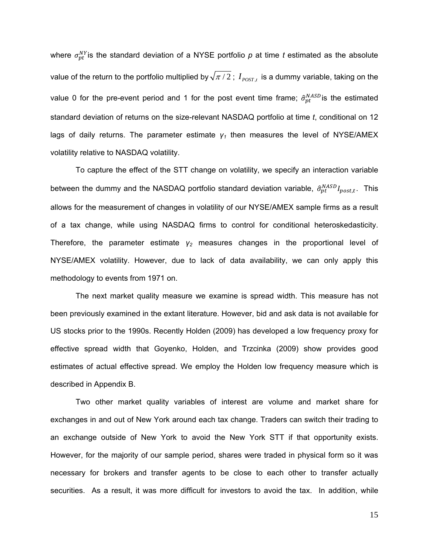where  $\sigma_{pt}^{NY}$  is the standard deviation of a NYSE portfolio  $p$  at time *t* estimated as the absolute value of the return to the portfolio multiplied by  $\sqrt{\pi/2}$ ;  $I_{poST}$ , is a dummy variable, taking on the value 0 for the pre-event period and 1 for the post event time frame;  $\hat{\sigma}_{pt}^{NASD}$  is the estimated standard deviation of returns on the size-relevant NASDAQ portfolio at time *t*, conditional on 12 lags of daily returns. The parameter estimate *γ1* then measures the level of NYSE/AMEX volatility relative to NASDAQ volatility.

To capture the effect of the STT change on volatility, we specify an interaction variable between the dummy and the NASDAQ portfolio standard deviation variable,  $\hat{\sigma}_{pt}^{NASD}I_{post,t}$ . This allows for the measurement of changes in volatility of our NYSE/AMEX sample firms as a result of a tax change, while using NASDAQ firms to control for conditional heteroskedasticity. Therefore, the parameter estimate *γ2* measures changes in the proportional level of NYSE/AMEX volatility. However, due to lack of data availability, we can only apply this methodology to events from 1971 on.

The next market quality measure we examine is spread width. This measure has not been previously examined in the extant literature. However, bid and ask data is not available for US stocks prior to the 1990s. Recently Holden (2009) has developed a low frequency proxy for effective spread width that Goyenko, Holden, and Trzcinka (2009) show provides good estimates of actual effective spread. We employ the Holden low frequency measure which is described in Appendix B.

Two other market quality variables of interest are volume and market share for exchanges in and out of New York around each tax change. Traders can switch their trading to an exchange outside of New York to avoid the New York STT if that opportunity exists. However, for the majority of our sample period, shares were traded in physical form so it was necessary for brokers and transfer agents to be close to each other to transfer actually securities. As a result, it was more difficult for investors to avoid the tax. In addition, while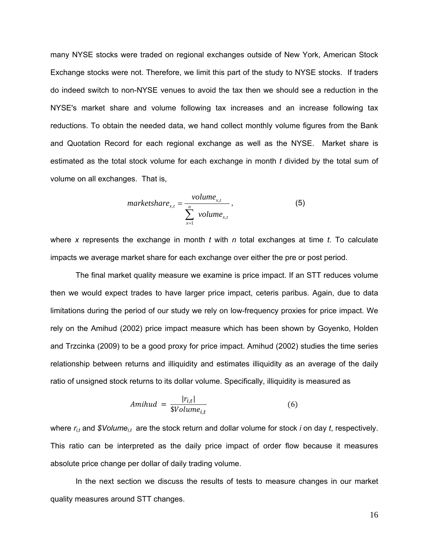many NYSE stocks were traded on regional exchanges outside of New York, American Stock Exchange stocks were not. Therefore, we limit this part of the study to NYSE stocks. If traders do indeed switch to non-NYSE venues to avoid the tax then we should see a reduction in the NYSE's market share and volume following tax increases and an increase following tax reductions. To obtain the needed data, we hand collect monthly volume figures from the Bank and Quotation Record for each regional exchange as well as the NYSE. Market share is estimated as the total stock volume for each exchange in month *t* divided by the total sum of volume on all exchanges. That is,

$$
marketshare_{x,t} = \frac{volume_{x,t}}{\sum_{x=1}^{n} volume_{x,t}},
$$
\n(5)

where *x* represents the exchange in month *t* with *n* total exchanges at time *t*. To calculate impacts we average market share for each exchange over either the pre or post period.

The final market quality measure we examine is price impact. If an STT reduces volume then we would expect trades to have larger price impact, ceteris paribus. Again, due to data limitations during the period of our study we rely on low-frequency proxies for price impact. We rely on the Amihud (2002) price impact measure which has been shown by Goyenko, Holden and Trzcinka (2009) to be a good proxy for price impact. Amihud (2002) studies the time series relationship between returns and illiquidity and estimates illiquidity as an average of the daily ratio of unsigned stock returns to its dollar volume. Specifically, illiquidity is measured as

$$
Amihud = \frac{|r_{i,t}|}{\$Volume_{i,t}}
$$
 (6)

where  $r_{i,t}$  and *\$Volume<sub>it</sub>* are the stock return and dollar volume for stock *i* on day *t*, respectively. This ratio can be interpreted as the daily price impact of order flow because it measures absolute price change per dollar of daily trading volume.

In the next section we discuss the results of tests to measure changes in our market quality measures around STT changes.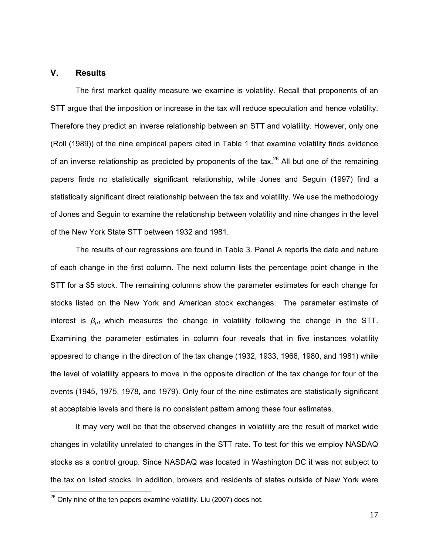#### **V. Results**

The first market quality measure we examine is volatility. Recall that proponents of an STT argue that the imposition or increase in the tax will reduce speculation and hence volatility. Therefore they predict an inverse relationship between an STT and volatility. However, only one (Roll (1989)) of the nine empirical papers cited in Table 1 that examine volatility finds evidence of an inverse relationship as predicted by proponents of the tax.<sup>26</sup> All but one of the remaining papers finds no statistically significant relationship, while Jones and Seguin (1997) find a statistically significant direct relationship between the tax and volatility. We use the methodology of Jones and Seguin to examine the relationship between volatility and nine changes in the level of the New York State STT between 1932 and 1981.

The results of our regressions are found in Table 3. Panel A reports the date and nature of each change in the first column. The next column lists the percentage point change in the STT for a \$5 stock. The remaining columns show the parameter estimates for each change for stocks listed on the New York and American stock exchanges. The parameter estimate of interest is  $\beta_{p1}$  which measures the change in volatility following the change in the STT. Examining the parameter estimates in column four reveals that in five instances volatility appeared to change in the direction of the tax change (1932, 1933, 1966, 1980, and 1981) while the level of volatility appears to move in the opposite direction of the tax change for four of the events (1945, 1975, 1978, and 1979). Only four of the nine estimates are statistically significant at acceptable levels and there is no consistent pattern among these four estimates.

It may very well be that the observed changes in volatility are the result of market wide changes in volatility unrelated to changes in the STT rate. To test for this we employ NASDAQ stocks as a control group. Since NASDAQ was located in Washington DC it was not subject to the tax on listed stocks. In addition, brokers and residents of states outside of New York were

 $^{26}$  Only nine of the ten papers examine volatility. Liu (2007) does not.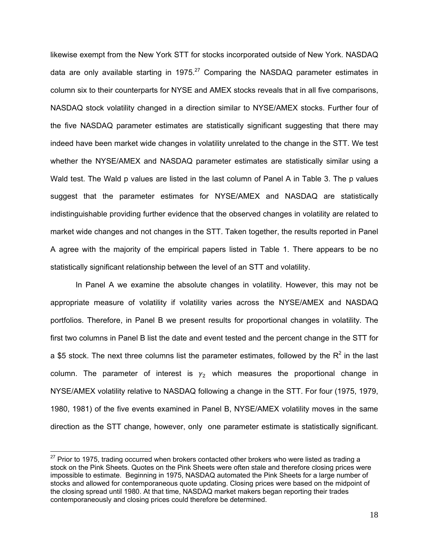likewise exempt from the New York STT for stocks incorporated outside of New York. NASDAQ data are only available starting in 1975. $27$  Comparing the NASDAQ parameter estimates in column six to their counterparts for NYSE and AMEX stocks reveals that in all five comparisons, NASDAQ stock volatility changed in a direction similar to NYSE/AMEX stocks. Further four of the five NASDAQ parameter estimates are statistically significant suggesting that there may indeed have been market wide changes in volatility unrelated to the change in the STT. We test whether the NYSE/AMEX and NASDAQ parameter estimates are statistically similar using a Wald test. The Wald p values are listed in the last column of Panel A in Table 3. The p values suggest that the parameter estimates for NYSE/AMEX and NASDAQ are statistically indistinguishable providing further evidence that the observed changes in volatility are related to market wide changes and not changes in the STT. Taken together, the results reported in Panel A agree with the majority of the empirical papers listed in Table 1. There appears to be no statistically significant relationship between the level of an STT and volatility.

In Panel A we examine the absolute changes in volatility. However, this may not be appropriate measure of volatility if volatility varies across the NYSE/AMEX and NASDAQ portfolios. Therefore, in Panel B we present results for proportional changes in volatility. The first two columns in Panel B list the date and event tested and the percent change in the STT for a \$5 stock. The next three columns list the parameter estimates, followed by the  $R^2$  in the last column. The parameter of interest is  $\gamma_2$  which measures the proportional change in NYSE/AMEX volatility relative to NASDAQ following a change in the STT. For four (1975, 1979, 1980, 1981) of the five events examined in Panel B, NYSE/AMEX volatility moves in the same direction as the STT change, however, only one parameter estimate is statistically significant.

 $^{27}$  Prior to 1975, trading occurred when brokers contacted other brokers who were listed as trading a stock on the Pink Sheets. Quotes on the Pink Sheets were often stale and therefore closing prices were impossible to estimate. Beginning in 1975, NASDAQ automated the Pink Sheets for a large number of stocks and allowed for contemporaneous quote updating. Closing prices were based on the midpoint of the closing spread until 1980. At that time, NASDAQ market makers began reporting their trades contemporaneously and closing prices could therefore be determined.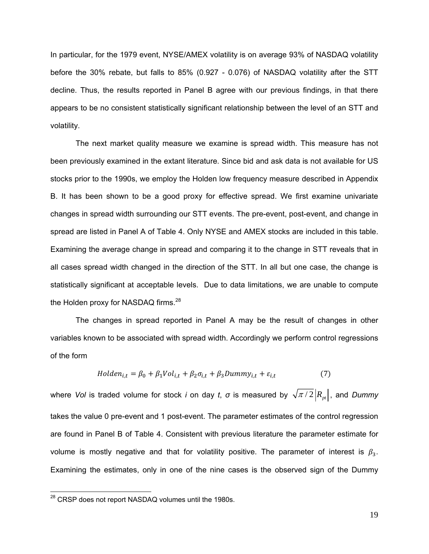In particular, for the 1979 event, NYSE/AMEX volatility is on average 93% of NASDAQ volatility before the 30% rebate, but falls to 85% (0.927 - 0.076) of NASDAQ volatility after the STT decline. Thus, the results reported in Panel B agree with our previous findings, in that there appears to be no consistent statistically significant relationship between the level of an STT and volatility.

The next market quality measure we examine is spread width. This measure has not been previously examined in the extant literature. Since bid and ask data is not available for US stocks prior to the 1990s, we employ the Holden low frequency measure described in Appendix B. It has been shown to be a good proxy for effective spread. We first examine univariate changes in spread width surrounding our STT events. The pre-event, post-event, and change in spread are listed in Panel A of Table 4. Only NYSE and AMEX stocks are included in this table. Examining the average change in spread and comparing it to the change in STT reveals that in all cases spread width changed in the direction of the STT. In all but one case, the change is statistically significant at acceptable levels. Due to data limitations, we are unable to compute the Holden proxy for NASDAQ firms.<sup>28</sup>

The changes in spread reported in Panel A may be the result of changes in other variables known to be associated with spread width. Accordingly we perform control regressions of the form

$$
Holden_{i,t} = \beta_0 + \beta_1 Vol_{i,t} + \beta_2 \sigma_{i,t} + \beta_3 Dummy_{i,t} + \varepsilon_{i,t}
$$
\n<sup>(7)</sup>

where *Vol* is traded volume for stock *i* on day *t*,  $\sigma$  is measured by  $\sqrt{\pi/2}|R_{pt}|$ , and *Dummy* takes the value 0 pre-event and 1 post-event. The parameter estimates of the control regression are found in Panel B of Table 4. Consistent with previous literature the parameter estimate for volume is mostly negative and that for volatility positive. The parameter of interest is  $\beta_3$ . Examining the estimates, only in one of the nine cases is the observed sign of the Dummy

 $^{28}$  CRSP does not report NASDAQ volumes until the 1980s.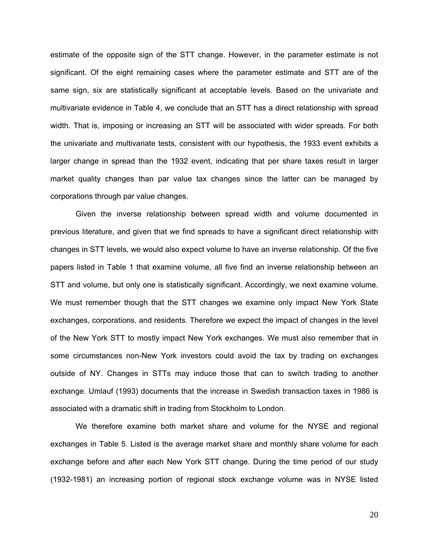estimate of the opposite sign of the STT change. However, in the parameter estimate is not significant. Of the eight remaining cases where the parameter estimate and STT are of the same sign, six are statistically significant at acceptable levels. Based on the univariate and multivariate evidence in Table 4, we conclude that an STT has a direct relationship with spread width. That is, imposing or increasing an STT will be associated with wider spreads. For both the univariate and multivariate tests, consistent with our hypothesis, the 1933 event exhibits a larger change in spread than the 1932 event, indicating that per share taxes result in larger market quality changes than par value tax changes since the latter can be managed by corporations through par value changes.

Given the inverse relationship between spread width and volume documented in previous literature, and given that we find spreads to have a significant direct relationship with changes in STT levels, we would also expect volume to have an inverse relationship. Of the five papers listed in Table 1 that examine volume, all five find an inverse relationship between an STT and volume, but only one is statistically significant. Accordingly, we next examine volume. We must remember though that the STT changes we examine only impact New York State exchanges, corporations, and residents. Therefore we expect the impact of changes in the level of the New York STT to mostly impact New York exchanges. We must also remember that in some circumstances non-New York investors could avoid the tax by trading on exchanges outside of NY. Changes in STTs may induce those that can to switch trading to another exchange. Umlauf (1993) documents that the increase in Swedish transaction taxes in 1986 is associated with a dramatic shift in trading from Stockholm to London.

We therefore examine both market share and volume for the NYSE and regional exchanges in Table 5. Listed is the average market share and monthly share volume for each exchange before and after each New York STT change. During the time period of our study (1932-1981) an increasing portion of regional stock exchange volume was in NYSE listed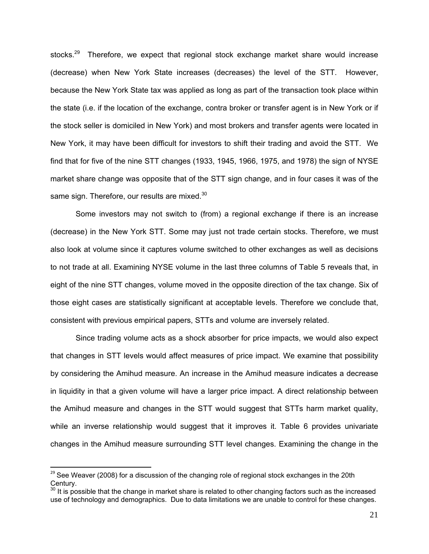stocks.<sup>29</sup> Therefore, we expect that regional stock exchange market share would increase (decrease) when New York State increases (decreases) the level of the STT. However, because the New York State tax was applied as long as part of the transaction took place within the state (i.e. if the location of the exchange, contra broker or transfer agent is in New York or if the stock seller is domiciled in New York) and most brokers and transfer agents were located in New York, it may have been difficult for investors to shift their trading and avoid the STT. We find that for five of the nine STT changes (1933, 1945, 1966, 1975, and 1978) the sign of NYSE market share change was opposite that of the STT sign change, and in four cases it was of the same sign. Therefore, our results are mixed.<sup>30</sup>

Some investors may not switch to (from) a regional exchange if there is an increase (decrease) in the New York STT. Some may just not trade certain stocks. Therefore, we must also look at volume since it captures volume switched to other exchanges as well as decisions to not trade at all. Examining NYSE volume in the last three columns of Table 5 reveals that, in eight of the nine STT changes, volume moved in the opposite direction of the tax change. Six of those eight cases are statistically significant at acceptable levels. Therefore we conclude that, consistent with previous empirical papers, STTs and volume are inversely related.

Since trading volume acts as a shock absorber for price impacts, we would also expect that changes in STT levels would affect measures of price impact. We examine that possibility by considering the Amihud measure. An increase in the Amihud measure indicates a decrease in liquidity in that a given volume will have a larger price impact. A direct relationship between the Amihud measure and changes in the STT would suggest that STTs harm market quality, while an inverse relationship would suggest that it improves it. Table 6 provides univariate changes in the Amihud measure surrounding STT level changes. Examining the change in the

 $^{29}$  See Weaver (2008) for a discussion of the changing role of regional stock exchanges in the 20th Century.

<sup>&</sup>lt;sup>30</sup> It is possible that the change in market share is related to other changing factors such as the increased use of technology and demographics. Due to data limitations we are unable to control for these changes.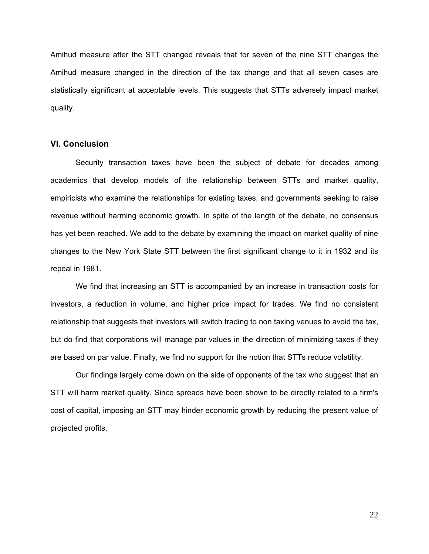Amihud measure after the STT changed reveals that for seven of the nine STT changes the Amihud measure changed in the direction of the tax change and that all seven cases are statistically significant at acceptable levels. This suggests that STTs adversely impact market quality.

#### **VI. Conclusion**

Security transaction taxes have been the subject of debate for decades among academics that develop models of the relationship between STTs and market quality, empiricists who examine the relationships for existing taxes, and governments seeking to raise revenue without harming economic growth. In spite of the length of the debate, no consensus has yet been reached. We add to the debate by examining the impact on market quality of nine changes to the New York State STT between the first significant change to it in 1932 and its repeal in 1981.

We find that increasing an STT is accompanied by an increase in transaction costs for investors, a reduction in volume, and higher price impact for trades. We find no consistent relationship that suggests that investors will switch trading to non taxing venues to avoid the tax, but do find that corporations will manage par values in the direction of minimizing taxes if they are based on par value. Finally, we find no support for the notion that STTs reduce volatility.

Our findings largely come down on the side of opponents of the tax who suggest that an STT will harm market quality. Since spreads have been shown to be directly related to a firm's cost of capital, imposing an STT may hinder economic growth by reducing the present value of projected profits.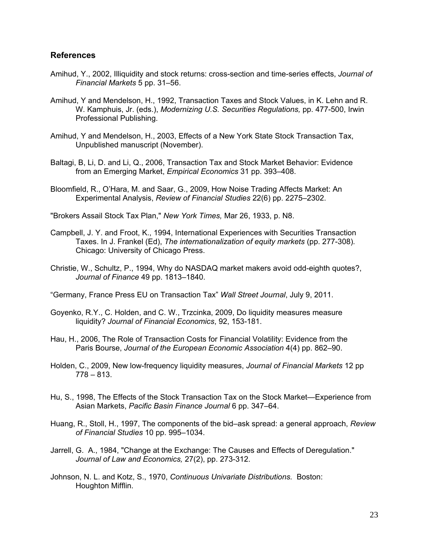#### **References**

- Amihud, Y., 2002, Illiquidity and stock returns: cross-section and time-series effects, *Journal of Financial Markets* 5 pp. 31–56.
- Amihud, Y and Mendelson, H., 1992, Transaction Taxes and Stock Values, in K. Lehn and R. W. Kamphuis, Jr. (eds.), *Modernizing U.S. Securities Regulations,* pp. 477-500, Irwin Professional Publishing.
- Amihud, Y and Mendelson, H., 2003, Effects of a New York State Stock Transaction Tax, Unpublished manuscript (November).
- Baltagi, B, Li, D. and Li, Q., 2006, Transaction Tax and Stock Market Behavior: Evidence from an Emerging Market, *Empirical Economics* 31 pp. 393–408.
- Bloomfield, R., O'Hara, M. and Saar, G., 2009, How Noise Trading Affects Market: An Experimental Analysis, *Review of Financial Studies* 22(6) pp. 2275–2302.

"Brokers Assail Stock Tax Plan," *New York Times,* Mar 26, 1933, p. N8.

- Campbell, J. Y. and Froot, K., 1994, International Experiences with Securities Transaction Taxes. In J. Frankel (Ed), *The internationalization of equity markets* (pp. 277-308)*.* Chicago: University of Chicago Press.
- Christie, W., Schultz, P., 1994, Why do NASDAQ market makers avoid odd-eighth quotes?, *Journal of Finance* 49 pp. 1813–1840.
- "Germany, France Press EU on Transaction Tax" *Wall Street Journal*, July 9, 2011.
- Goyenko, R.Y., C. Holden, and C. W., Trzcinka, 2009, Do liquidity measures measure liquidity? *Journal of Financial Economics*, 92, 153-181.
- Hau, H., 2006, The Role of Transaction Costs for Financial Volatility: Evidence from the Paris Bourse, *Journal of the European Economic Association* 4(4) pp. 862–90.
- Holden, C., 2009, New low-frequency liquidity measures, *Journal of Financial Markets* 12 pp  $778 - 813.$
- Hu, S., 1998, The Effects of the Stock Transaction Tax on the Stock Market—Experience from Asian Markets, *Pacific Basin Finance Journal* 6 pp. 347–64.
- Huang, R., Stoll, H., 1997, The components of the bid–ask spread: a general approach, *Review of Financial Studies* 10 pp. 995–1034.
- Jarrell, G. A., 1984, "Change at the Exchange: The Causes and Effects of Deregulation." *Journal of Law and Economics,* 27(2), pp. 273-312.
- Johnson, N. L. and Kotz, S., 1970, *Continuous Univariate Distributions.* Boston: Houghton Mifflin.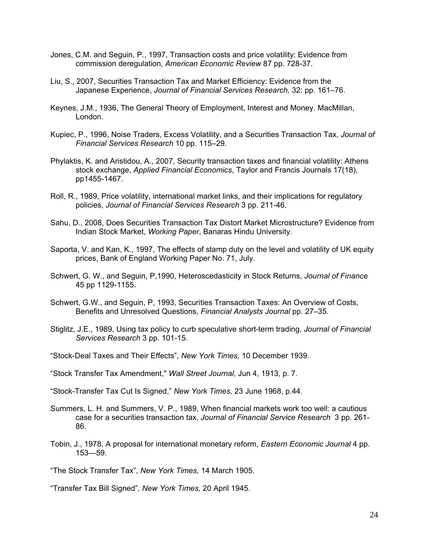- Jones, C.M. and Seguin, P., 1997, Transaction costs and price volatility: Evidence from commission deregulation, *American Economic Review* 87 pp. 728-37.
- Liu, S., 2007, Securities Transaction Tax and Market Efficiency: Evidence from the Japanese Experience, *Journal of Financial Services Research,* 32: pp. 161–76.
- Keynes, J.M., 1936, The General Theory of Employment, Interest and Money. MacMillan, London.
- Kupiec, P., 1996, Noise Traders, Excess Volatility, and a Securities Transaction Tax, *Journal of Financial Services Research* 10 pp. 115–29.
- Phylaktis, K. and Aristidou, A., 2007, Security transaction taxes and financial volatility: Athens stock exchange, *Applied Financial Economics*, Taylor and Francis Journals 17(18), pp1455-1467.
- Roll, R., 1989, Price volatility, international market links, and their implications for regulatory policies, *Journal of Financial Services Research* 3 pp. 211-46.
- Sahu, D., 2008, Does Securities Transaction Tax Distort Market Microstructure? Evidence from Indian Stock Market, *Working Paper*, Banaras Hindu University.
- Saporta, V. and Kan, K., 1997, The effects of stamp duty on the level and volatility of UK equity prices, Bank of England Working Paper No. 71, July.
- Schwert, G. W., and Seguin, P,1990, Heteroscedasticity in Stock Returns, *Journal of Finance* 45 pp 1129-1155.
- Schwert, G.W., and Seguin, P, 1993, Securities Transaction Taxes: An Overview of Costs, Benefits and Unresolved Questions, *Financial Analysts Journal* pp*.* 27–35.
- Stiglitz, J.E., 1989, Using tax policy to curb speculative short-term trading, *Journal of Financial Services Research* 3 pp. 101-15.
- "Stock-Deal Taxes and Their Effects", *New York Times,* 10 December 1939.
- "Stock Transfer Tax Amendment," *Wall Street Journal,* Jun 4, 1913, p. 7.

"Stock-Transfer Tax Cut Is Signed," *New York Times,* 23 June 1968, p.44.

- Summers, L. H. and Summers, V. P., 1989, When financial markets work too well: a cautious case for a securities transaction tax, *Journal of Financial Service Research* 3 pp. 261- 86.
- Tobin, J., 1978, A proposal for international monetary reform, *Eastern Economic Journal* 4 pp. 153—59.

"The Stock Transfer Tax", *New York Times,* 14 March 1905.

"Transfer Tax Bill Signed", *New York Times,* 20 April 1945.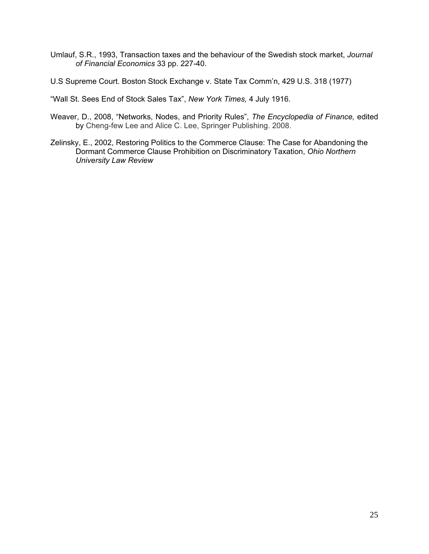- Umlauf, S.R., 1993, Transaction taxes and the behaviour of the Swedish stock market, *Journal of Financial Economics* 33 pp. 227-40.
- U.S Supreme Court. Boston Stock Exchange v. State Tax Comm'n, 429 U.S. 318 (1977)

"Wall St. Sees End of Stock Sales Tax", *New York Times,* 4 July 1916.

- Weaver, D., 2008, "Networks, Nodes, and Priority Rules", *The Encyclopedia of Finance,* edited by Cheng-few Lee and Alice C. Lee, Springer Publishing. 2008.
- Zelinsky, E., 2002, Restoring Politics to the Commerce Clause: The Case for Abandoning the Dormant Commerce Clause Prohibition on Discriminatory Taxation, *Ohio Northern University Law Review*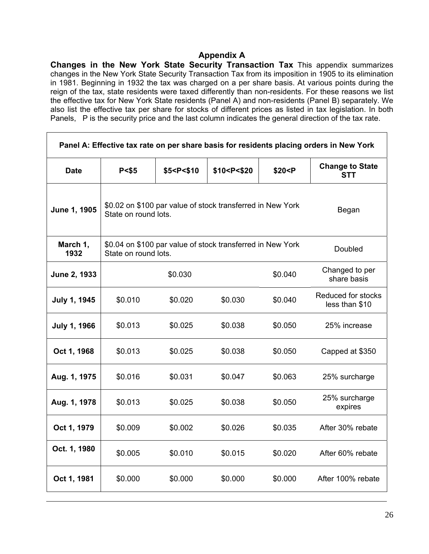### **Appendix A**

**Changes in the New York State Security Transaction Tax** This appendix summarizes changes in the New York State Security Transaction Tax from its imposition in 1905 to its elimination in 1981. Beginning in 1932 the tax was charged on a per share basis. At various points during the reign of the tax, state residents were taxed differently than non-residents. For these reasons we list the effective tax for New York State residents (Panel A) and non-residents (Panel B) separately. We also list the effective tax per share for stocks of different prices as listed in tax legislation. In both Panels, P is the security price and the last column indicates the general direction of the tax rate.

| Panel A: Effective tax rate on per share basis for residents placing orders in New York |         |                                                                                                                                               |                                                                                                          |                                                                    |                                      |  |  |  |  |  |
|-----------------------------------------------------------------------------------------|---------|-----------------------------------------------------------------------------------------------------------------------------------------------|----------------------------------------------------------------------------------------------------------|--------------------------------------------------------------------|--------------------------------------|--|--|--|--|--|
| <b>Date</b>                                                                             | P < \$5 | \$5 <p<\$10< th=""><th>\$10<p<\$20< th=""><th>\$20<p< th=""><th><b>Change to State</b><br/><b>STT</b></th></p<></th></p<\$20<></th></p<\$10<> | \$10 <p<\$20< th=""><th>\$20<p< th=""><th><b>Change to State</b><br/><b>STT</b></th></p<></th></p<\$20<> | \$20 <p< th=""><th><b>Change to State</b><br/><b>STT</b></th></p<> | <b>Change to State</b><br><b>STT</b> |  |  |  |  |  |
| June 1, 1905                                                                            |         | \$0.02 on \$100 par value of stock transferred in New York<br>Began<br>State on round lots.                                                   |                                                                                                          |                                                                    |                                      |  |  |  |  |  |
| March 1,<br>1932                                                                        |         | \$0.04 on \$100 par value of stock transferred in New York<br>Doubled<br>State on round lots.                                                 |                                                                                                          |                                                                    |                                      |  |  |  |  |  |
| June 2, 1933                                                                            |         | Changed to per<br>share basis                                                                                                                 |                                                                                                          |                                                                    |                                      |  |  |  |  |  |
| <b>July 1, 1945</b>                                                                     | \$0.010 | \$0.020                                                                                                                                       | \$0.030                                                                                                  | \$0.040                                                            | Reduced for stocks<br>less than \$10 |  |  |  |  |  |
| <b>July 1, 1966</b>                                                                     | \$0.013 | \$0.025                                                                                                                                       | \$0.038                                                                                                  | \$0.050                                                            | 25% increase                         |  |  |  |  |  |
| Oct 1, 1968                                                                             | \$0.013 | \$0.025                                                                                                                                       | \$0.038                                                                                                  | \$0.050                                                            | Capped at \$350                      |  |  |  |  |  |
| Aug. 1, 1975                                                                            | \$0.016 | \$0.031                                                                                                                                       | \$0.047                                                                                                  | \$0.063                                                            | 25% surcharge                        |  |  |  |  |  |
| Aug. 1, 1978                                                                            | \$0.013 | \$0.025                                                                                                                                       | \$0.038                                                                                                  | \$0.050                                                            | 25% surcharge<br>expires             |  |  |  |  |  |
| Oct 1, 1979                                                                             | \$0.009 | \$0.002                                                                                                                                       | \$0.026                                                                                                  | \$0.035                                                            | After 30% rebate                     |  |  |  |  |  |
| Oct. 1, 1980                                                                            | \$0.005 | \$0.010                                                                                                                                       | \$0.015                                                                                                  | \$0.020                                                            | After 60% rebate                     |  |  |  |  |  |
| Oct 1, 1981                                                                             | \$0.000 | \$0.000                                                                                                                                       | \$0.000                                                                                                  | \$0.000                                                            | After 100% rebate                    |  |  |  |  |  |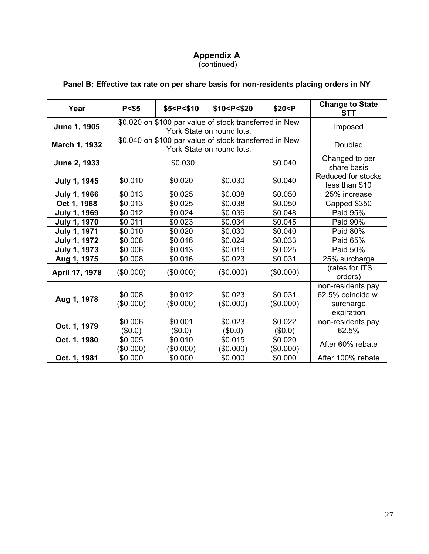#### **Appendix A**  (continued)

|                     |                      |                                                                                                                                       |                                                                                                  |                      | Panel B: Effective tax rate on per share basis for non-residents placing orders in NY |
|---------------------|----------------------|---------------------------------------------------------------------------------------------------------------------------------------|--------------------------------------------------------------------------------------------------|----------------------|---------------------------------------------------------------------------------------|
| Year                | P < \$5              | \$5 <p<\$10< th=""><th>\$10<p<\$20< th=""><th>\$20 &lt; P</th><th><b>Change to State</b><br/><b>STT</b></th></p<\$20<></th></p<\$10<> | \$10 <p<\$20< th=""><th>\$20 &lt; P</th><th><b>Change to State</b><br/><b>STT</b></th></p<\$20<> | \$20 < P             | <b>Change to State</b><br><b>STT</b>                                                  |
| June 1, 1905        |                      |                                                                                                                                       | \$0.020 on \$100 par value of stock transferred in New<br>York State on round lots.              |                      | Imposed                                                                               |
| March 1, 1932       |                      |                                                                                                                                       | \$0.040 on \$100 par value of stock transferred in New<br>York State on round lots.              |                      | Doubled                                                                               |
| June 2, 1933        |                      | \$0.030                                                                                                                               |                                                                                                  | \$0.040              | Changed to per<br>share basis                                                         |
| <b>July 1, 1945</b> | \$0.010              | \$0.020                                                                                                                               | \$0.030                                                                                          | \$0.040              | Reduced for stocks<br>less than \$10                                                  |
| <b>July 1, 1966</b> | \$0.013              | \$0.025                                                                                                                               | \$0.038                                                                                          | \$0.050              | 25% increase                                                                          |
| Oct 1, 1968         | \$0.013              | \$0.025                                                                                                                               | \$0.038                                                                                          | \$0.050              | Capped \$350                                                                          |
| <b>July 1, 1969</b> | \$0.012              | \$0.024                                                                                                                               | \$0.036                                                                                          | \$0.048              | Paid 95%                                                                              |
| <b>July 1, 1970</b> | \$0.011              | \$0.023                                                                                                                               | \$0.034                                                                                          | \$0.045              | Paid 90%                                                                              |
| <b>July 1, 1971</b> | \$0.010              | \$0.020                                                                                                                               | \$0.030                                                                                          | \$0.040              | Paid 80%                                                                              |
| <b>July 1, 1972</b> | \$0.008              | \$0.016                                                                                                                               | \$0.024                                                                                          | \$0.033              | Paid 65%                                                                              |
| <b>July 1, 1973</b> | \$0.006              | \$0.013                                                                                                                               | \$0.019                                                                                          | \$0.025              | Paid 50%                                                                              |
| Aug 1, 1975         | \$0.008              | \$0.016                                                                                                                               | \$0.023                                                                                          | \$0.031              | 25% surcharge                                                                         |
| April 17, 1978      | (\$0.000)            | (\$0.000)                                                                                                                             | (\$0.000)                                                                                        | (\$0.000)            | (rates for ITS<br>orders)                                                             |
| Aug 1, 1978         | \$0.008<br>(\$0.000) | \$0.012<br>(\$0.000)                                                                                                                  | \$0.023<br>(\$0.000)                                                                             | \$0.031<br>(\$0.000) | non-residents pay<br>62.5% coincide w.<br>surcharge<br>expiration                     |
| Oct. 1, 1979        | \$0.006<br>(\$0.0)   | \$0.001<br>(\$0.0)                                                                                                                    | \$0.023<br>(\$0.0)                                                                               | \$0.022<br>(\$0.0)   | non-residents pay<br>62.5%                                                            |
| Oct. 1, 1980        | \$0.005<br>(\$0.000) | \$0.010<br>(\$0.000)                                                                                                                  | \$0.015<br>(\$0.000)                                                                             | \$0.020<br>(\$0.000) | After 60% rebate                                                                      |
| Oct. 1, 1981        | \$0.000              | \$0.000                                                                                                                               | \$0.000                                                                                          | \$0.000              | After 100% rebate                                                                     |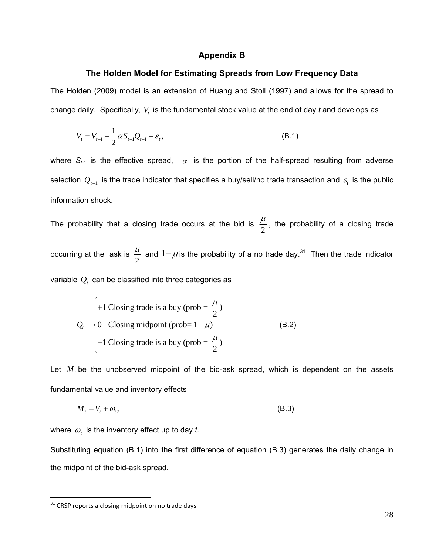#### **Appendix B**

#### **The Holden Model for Estimating Spreads from Low Frequency Data**

The Holden (2009) model is an extension of Huang and Stoll (1997) and allows for the spread to change daily. Specifically,  $V_t$  is the fundamental stock value at the end of day  $t$  and develops as

$$
V_{t} = V_{t-1} + \frac{1}{2} \alpha S_{t-1} Q_{t-1} + \varepsilon_{t},
$$
\n(B.1)

where  $S_{t-1}$  is the effective spread,  $\alpha$  is the portion of the half-spread resulting from adverse selection  $Q_{t-1}$  is the trade indicator that specifies a buy/sell/no trade transaction and  $\varepsilon_t$  is the public information shock.

The probability that a closing trade occurs at the bid is  $\frac{\mu}{2}$ , the probability of a closing trade occurring at the ask is  $\frac{\mu}{2}$  and  $1-\mu$  is the probability of a no trade day.<sup>31</sup> Then the trade indicator variable  $Q<sub>t</sub>$  can be classified into three categories as

$$
Q_{t} = \begin{cases} +1 \text{ Closing trade is a buy (prob} = \frac{\mu}{2}) \\ 0 \text{ Closing midpoint (prob=1-\mu)} \\ -1 \text{ Closing trade is a buy (prob= \frac{\mu}{2}) \end{cases}
$$
(B.2)

Let  $M$ , be the unobserved midpoint of the bid-ask spread, which is dependent on the assets fundamental value and inventory effects

$$
M_t = V_t + \omega_t, \tag{B.3}
$$

where  $\omega_t$  is the inventory effect up to day *t*.

Substituting equation (B.1) into the first difference of equation (B.3) generates the daily change in the midpoint of the bid-ask spread,

 $31$  CRSP reports a closing midpoint on no trade days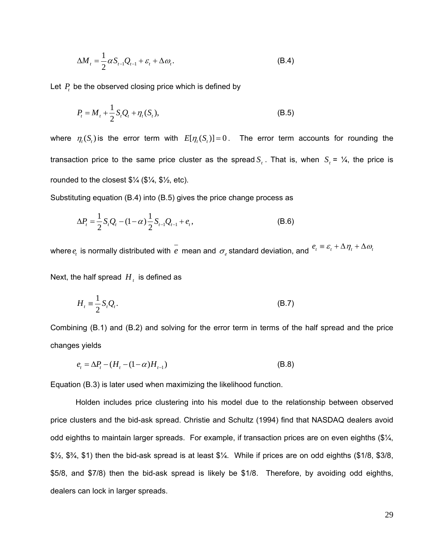$$
\Delta M_t = \frac{1}{2} \alpha S_{t-1} Q_{t-1} + \varepsilon_t + \Delta \omega_t.
$$
 (B.4)

Let  $P_t$  be the observed closing price which is defined by

$$
P_{t} = M_{t} + \frac{1}{2} S_{t} Q_{t} + \eta_{t} (S_{t}),
$$
\n(B.5)

where  $\eta_t(S_t)$  is the error term with  $E[\eta_t(S_t)] = 0$ . The error term accounts for rounding the transaction price to the same price cluster as the spread  $S_t$ . That is, when  $S_t = \frac{1}{4}$ , the price is rounded to the closest  $\frac{1}{4}$  ( $\frac{1}{4}$ ,  $\frac{1}{4}$ ,  $\frac{1}{4}$ , etc).

Substituting equation (B.4) into (B.5) gives the price change process as

$$
\Delta P_t = \frac{1}{2} S_t Q_t - (1 - \alpha) \frac{1}{2} S_{t-1} Q_{t-1} + e_t,
$$
\n(B.6)

where  $e_t$  is normally distributed with  $\overline{e}$  mean and  $\sigma_e$  standard deviation, and  $e_t \equiv \varepsilon_t + \Delta \eta_t + \Delta \omega_t$ 

Next, the half spread  $H_t$  is defined as

$$
H_t \equiv \frac{1}{2} S_t Q_t. \tag{B.7}
$$

Combining (B.1) and (B.2) and solving for the error term in terms of the half spread and the price changes yields

$$
e_t = \Delta P_t - (H_t - (1 - \alpha)H_{t-1})
$$
\n(B.8)

Equation (B.3) is later used when maximizing the likelihood function.

Holden includes price clustering into his model due to the relationship between observed price clusters and the bid-ask spread. Christie and Schultz (1994) find that NASDAQ dealers avoid odd eighths to maintain larger spreads. For example, if transaction prices are on even eighths (\$¼, \$½, \$¾, \$1) then the bid-ask spread is at least \$¼. While if prices are on odd eighths (\$1/8, \$3/8, \$5/8, and \$7/8) then the bid-ask spread is likely be \$1/8. Therefore, by avoiding odd eighths, dealers can lock in larger spreads.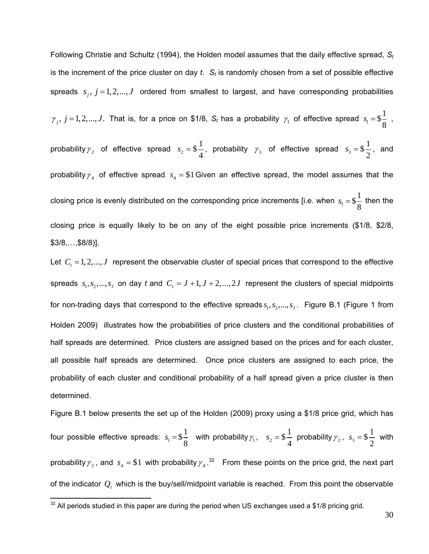Following Christie and Schultz (1994), the Holden model assumes that the daily effective spread, *St* is the increment of the price cluster on day  $t$ .  $S_t$  is randomly chosen from a set of possible effective spreads  $s_i$ ,  $j = 1,2,...,J$  ordered from smallest to largest, and have corresponding probabilities  $\gamma_j$ ,  $j = 1,2,...,J$ . That is, for a price on \$1/8,  $S_t$  has a probability  $\gamma_1$  of effective spread  $s_1 = $ \frac{1}{2}$ 8  $s_1 = \frac{1}{2}$ , probability  $\gamma_2$  of effective spread  $s_2 = $ \frac{1}{4}$  $s_2 =$  \$ $\frac{1}{4}$ , probability  $\gamma_3$  of effective spread  $s_3 =$  \$ $\frac{1}{2}$ 2  $s_3 = $ \frac{1}{2}$ , and probability  $\gamma_4$  of effective spread  $s_4 = $1$  Given an effective spread, the model assumes that the closing price is evenly distributed on the corresponding price increments [i.e. when  $s_1 = $ \frac{1}{\alpha}$ 8  $s_1 = $ \frac{1}{2}$  then the closing price is equally likely to be on any of the eight possible price increments (\$1/8, \$2/8, \$3/8,…,\$8/8)].

Let  $C<sub>r</sub> = 1, 2, ..., J$  represent the observable cluster of special prices that correspond to the effective spreads  $s_1, s_2, ..., s_J$  on day *t* and  $C_t = J + 1, J + 2, ..., 2J$  represent the clusters of special midpoints for non-trading days that correspond to the effective spreads  $s_1, s_2, ..., s_j$ . Figure B.1 (Figure 1 from Holden 2009) illustrates how the probabilities of price clusters and the conditional probabilities of half spreads are determined. Price clusters are assigned based on the prices and for each cluster, all possible half spreads are determined. Once price clusters are assigned to each price, the probability of each cluster and conditional probability of a half spread given a price cluster is then determined.

Figure B.1 below presents the set up of the Holden (2009) proxy using a \$1/8 price grid, which has four possible effective spreads:  $s_1 = $ \frac{1}{8}$  $s_1 = $ \frac{1}{8}$  with probability  $\gamma_1$ ,  $s_2 = $ \frac{1}{4}$  $s_2 = $ \frac{1}{4}$  probability  $\gamma_2$ ,  $s_3 = $ \frac{1}{2}$ 2  $s_3 = $$   $\frac{1}{2}$  with probability  $\gamma_3$ , and  $s_4 = $1$  with probability  $\gamma_4$ .<sup>32</sup> From these points on the price grid, the next part of the indicator  $Q_t$  which is the buy/sell/midpoint variable is reached. From this point the observable

 $32$  All periods studied in this paper are during the period when US exchanges used a \$1/8 pricing grid.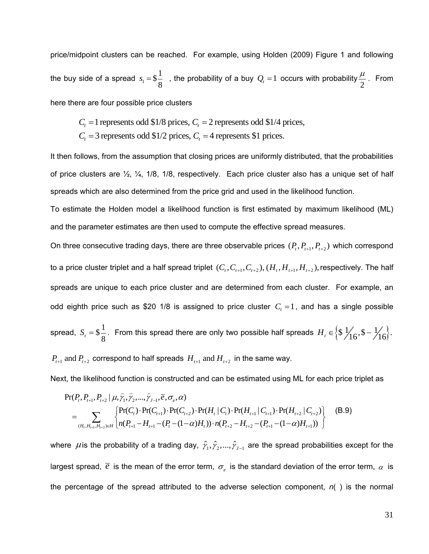price/midpoint clusters can be reached. For example, using Holden (2009) Figure 1 and following the buy side of a spread  $s_1 = $ \frac{1}{2}$  $s_1 = $ \frac{1}{8}$ , the probability of a buy  $Q_t = 1$  occurs with probability  $\frac{\mu}{2}$ . From here there are four possible price clusters

 $C_t = 1$  represents odd \$1/8 prices,  $C_t = 2$  represents odd \$1/4 prices,

 $C_t$  = 3 represents odd \$1/2 prices,  $C_t$  = 4 represents \$1 prices.

It then follows, from the assumption that closing prices are uniformly distributed, that the probabilities of price clusters are ½, ¼, 1/8, 1/8, respectively. Each price cluster also has a unique set of half spreads which are also determined from the price grid and used in the likelihood function.

To estimate the Holden model a likelihood function is first estimated by maximum likelihood (ML) and the parameter estimates are then used to compute the effective spread measures.

On three consecutive trading days, there are three observable prices  $(P_t, P_{t+1}, P_{t+2})$  which correspond to a price cluster triplet and a half spread triplet  $(C_t, C_{t+1}, C_{t+2}), (H_t, H_{t+1}, H_{t+2})$ , respectively. The half spreads are unique to each price cluster and are determined from each cluster. For example, an odd eighth price such as \$20 1/8 is assigned to price cluster  $C<sub>t</sub> = 1$ , and has a single possible spread,  $S_t = \$\frac{1}{8}$ . From this spread there are only two possible half spreads  $H_t \in \left\{\$\frac{1}{16}, \$-\frac{1}{16}\right\}$ .

 $P_{t+1}$  and  $P_{t+2}$  correspond to half spreads  $H_{t+1}$  and  $H_{t+2}$  in the same way.

Next, the likelihood function is constructed and can be estimated using ML for each price triplet as

$$
Pr(P_t, P_{t+1}, P_{t+2} | \mu, \hat{\gamma}_1, \hat{\gamma}_2, \dots, \hat{\gamma}_{J-1}, \overline{e}, \sigma_e, \alpha)
$$
\n
$$
= \sum_{(H_t, H_{t+1}, H_{t+2}) \in H} \begin{cases} Pr(C_t) \cdot Pr(C_{t+1}) \cdot Pr(C_{t+2}) \cdot Pr(H_t | C_t) \cdot Pr(H_{t+1} | C_{t+1}) \cdot Pr(H_{t+2} | C_{t+2}) \\ n(P_{t+1} - H_{t+1} - (P_t - (1 - \alpha)H_t)) \cdot n(P_{t+2} - H_{t+2} - (P_{t+1} - (1 - \alpha)H_{t+1})) \end{cases}
$$
\n(B.9)

where  $\mu$  is the probability of a trading day,  $\hat{\gamma}_1, \hat{\gamma}_2, ..., \hat{\gamma}_{J-1}$  are the spread probabilities except for the largest spread,  $\bar{e}$  is the mean of the error term,  $\sigma_e$  is the standard deviation of the error term,  $\alpha$  is the percentage of the spread attributed to the adverse selection component, *n*( ) is the normal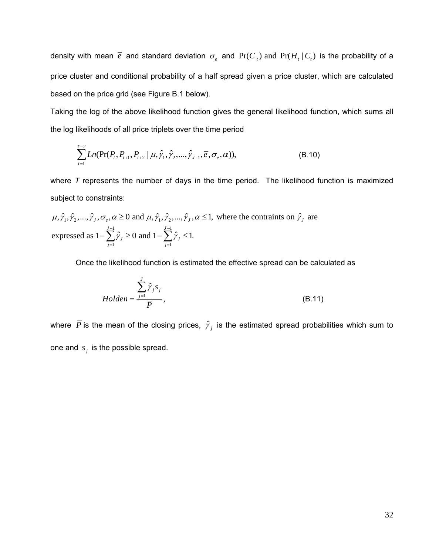density with mean  $\bar{e}$  and standard deviation  $\sigma_e$  and Pr( $C_t$ ) and Pr( $H_t \mid C_t$ ) is the probability of a price cluster and conditional probability of a half spread given a price cluster, which are calculated based on the price grid (see Figure B.1 below).

Taking the log of the above likelihood function gives the general likelihood function, which sums all the log likelihoods of all price triplets over the time period

$$
\sum_{t=1}^{T-2} Ln(\Pr(P_t, P_{t+1}, P_{t+2} | \mu, \hat{\gamma}_1, \hat{\gamma}_2, ..., \hat{\gamma}_{J-1}, \overline{e}, \sigma_e, \alpha)),
$$
\n(B.10)

where *T* represents the number of days in the time period. The likelihood function is maximized subject to constraints:

 $\mu, \hat{\gamma}_1, \hat{\gamma}_2, ..., \hat{\gamma}_J, \sigma_e, \alpha \ge 0$  and  $\mu, \hat{\gamma}_1, \hat{\gamma}_2, ..., \hat{\gamma}_J, \alpha \le 1$ , where the contraints on  $\hat{\gamma}_J$  are  $J-1$  $i=1$ expressed as  $1 - \sum_{i=1}^{J-1} \hat{\gamma}_i \ge 0$  and  $1 - \sum_{i=1}^{J-1} \hat{\gamma}_i \le 1$ .  $J \subseteq$   $\cup$  and  $\cup$   $\cup$   $\cup$   $\cup$   $\cup$ *j j*  $\gamma_I \geq 0$  and  $I - \sum \gamma$  $-1$   $J -\sum_{j=1}^{n} \hat{\gamma}_j \ge 0$  and  $1-\sum_{j=1}^{n} \hat{\gamma}_j \le$ 

Once the likelihood function is estimated the effective spread can be calculated as

$$
Holden = \frac{\sum_{j=1}^{J} \hat{\gamma}_j s_j}{\overline{P}},
$$
\n(B.11)

where  $\bar{P}$  is the mean of the closing prices,  $\hat{\gamma}_j$  is the estimated spread probabilities which sum to one and  $s_j$  is the possible spread.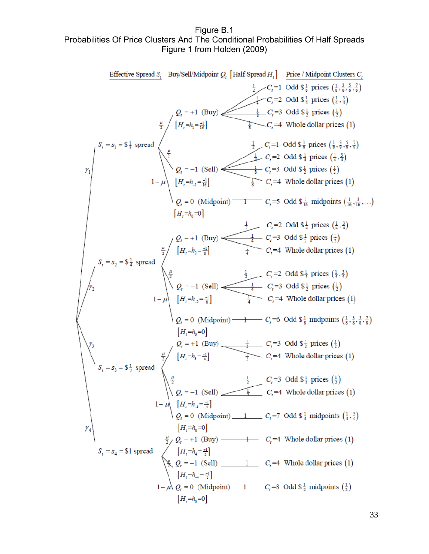Figure B.1 Probabilities Of Price Clusters And The Conditional Probabilities Of Half Spreads Figure 1 from Holden (2009)

**Effective Speed** *S<sub>1</sub>* **By/Self/Midpoint** *Q<sub>i</sub>* [Half-Spread *H<sub>i</sub>*] **Prie** / Midpoint Clusters *C<sub>i</sub>* 
$$
\frac{1}{2}
$$
  $C_i = 1$   $\frac{1}{2}$   $C_i = 2$   $\frac{1}{2}$   $C_i = 3$   $\frac{1}{2}$   $\frac{1}{2}$   $C_i = 4$   $\frac{1}{2}$   $\frac{1}{2}$   $C_i = 3$   $\frac{1}{2}$   $\frac{1}{2}$   $\frac{1}{2}$   $\frac{1}{2}$   $\frac{1}{2}$   $\frac{1}{2}$   $\frac{1}{2}$   $\frac{1}{2}$   $\frac{1}{2}$   $\frac{1}{2}$   $\frac{1}{2}$   $\frac{1}{2}$   $\frac{1}{2}$   $\frac{1}{2}$   $\frac{1}{2}$   $\frac{1}{2}$   $\frac{1}{2}$   $\frac{1}{2}$   $\frac{1}{2}$   $\frac{1}{2}$   $\frac{1}{2}$   $\frac{1}{2}$   $\frac{1}{2}$   $\frac{1}{2}$   $\frac{1}{2}$   $\frac{1}{2}$   $\frac{1}{2}$   $\frac{1}{2}$   $\frac{1}{2}$   $\frac{1}{2}$   $\frac{1}{2}$   $\frac{1}{2}$   $\frac{1}{2}$   $\frac{1}{2}$   $\frac{1}{2}$   $\frac{1}{2}$   $\frac{1}{2}$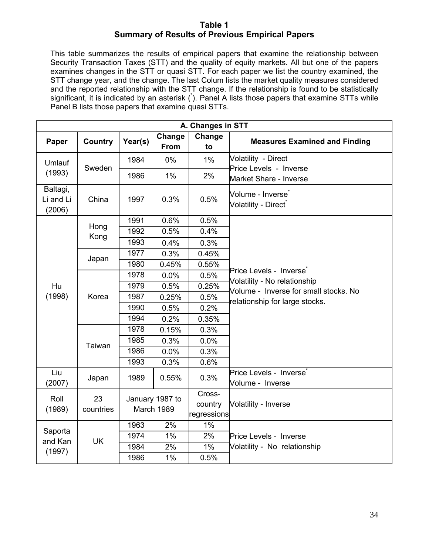#### **Table 1 Summary of Results of Previous Empirical Papers**

This table summarizes the results of empirical papers that examine the relationship between Security Transaction Taxes (STT) and the quality of equity markets. All but one of the papers examines changes in the STT or quasi STT. For each paper we list the country examined, the STT change year, and the change. The last Colum lists the market quality measures considered and the reported relationship with the STT change. If the relationship is found to be statistically significant, it is indicated by an asterisk (\*). Panel A lists those papers that examine STTs while Panel B lists those papers that examine quasi STTs.

|                                 | A. Changes in STT |                               |                |                                  |                                                                       |  |  |  |  |  |  |
|---------------------------------|-------------------|-------------------------------|----------------|----------------------------------|-----------------------------------------------------------------------|--|--|--|--|--|--|
| Paper                           | Country           | Year(s)                       | Change<br>From | Change<br>to                     | <b>Measures Examined and Finding</b>                                  |  |  |  |  |  |  |
| Umlauf                          |                   | 1984                          | 0%             | $1\%$                            | Volatility - Direct                                                   |  |  |  |  |  |  |
| (1993)                          | Sweden            | 1986                          | $1\%$          | 2%                               | Price Levels - Inverse<br>Market Share - Inverse                      |  |  |  |  |  |  |
| Baltagi,<br>Li and Li<br>(2006) | China             | 1997                          | 0.3%           | 0.5%                             | Volume - Inverse <sup>*</sup><br>Volatility - Direct*                 |  |  |  |  |  |  |
|                                 |                   | 1991                          | 0.6%           | 0.5%                             |                                                                       |  |  |  |  |  |  |
|                                 | Hong              | 1992                          | 0.5%           | 0.4%                             |                                                                       |  |  |  |  |  |  |
|                                 | Kong              | 1993                          | 0.4%           | 0.3%                             |                                                                       |  |  |  |  |  |  |
|                                 |                   | 1977                          | 0.3%           | 0.45%                            |                                                                       |  |  |  |  |  |  |
|                                 | Japan             | 1980                          | 0.45%          | 0.55%                            |                                                                       |  |  |  |  |  |  |
|                                 |                   | 1978                          | 0.0%           | 0.5%                             | Price Levels - Inverse <sup>*</sup>                                   |  |  |  |  |  |  |
| Hu                              |                   | 1979                          | 0.5%           | 0.25%                            | Volatility - No relationship<br>Volume - Inverse for small stocks. No |  |  |  |  |  |  |
| (1998)                          | Korea             | 1987                          | 0.25%          | 0.5%                             | relationship for large stocks.                                        |  |  |  |  |  |  |
|                                 |                   | 1990                          | 0.5%           | 0.2%                             |                                                                       |  |  |  |  |  |  |
|                                 |                   | 1994                          | 0.2%           | 0.35%                            |                                                                       |  |  |  |  |  |  |
|                                 |                   | 1978                          | 0.15%          | 0.3%                             |                                                                       |  |  |  |  |  |  |
|                                 | Taiwan            | 1985                          | 0.3%           | 0.0%                             |                                                                       |  |  |  |  |  |  |
|                                 |                   | 1986                          | 0.0%           | 0.3%                             |                                                                       |  |  |  |  |  |  |
|                                 |                   | 1993                          | 0.3%           | 0.6%                             |                                                                       |  |  |  |  |  |  |
| Liu<br>(2007)                   | Japan             | 1989                          | 0.55%          | 0.3%                             | Price Levels - Inverse<br>Volume - Inverse                            |  |  |  |  |  |  |
| Roll<br>(1989)                  | 23<br>countries   | January 1987 to<br>March 1989 |                | Cross-<br>country<br>regressions | <b>Volatility - Inverse</b>                                           |  |  |  |  |  |  |
|                                 |                   | 1963                          | 2%             | $1\%$                            |                                                                       |  |  |  |  |  |  |
| Saporta                         |                   | 1974                          | $1\%$          | $2\%$                            | Price Levels - Inverse                                                |  |  |  |  |  |  |
| and Kan                         | <b>UK</b>         | 1984                          | 2%             | $1\%$                            | Volatility - No relationship                                          |  |  |  |  |  |  |
| (1997)                          |                   | 1986                          | 1%             | 0.5%                             |                                                                       |  |  |  |  |  |  |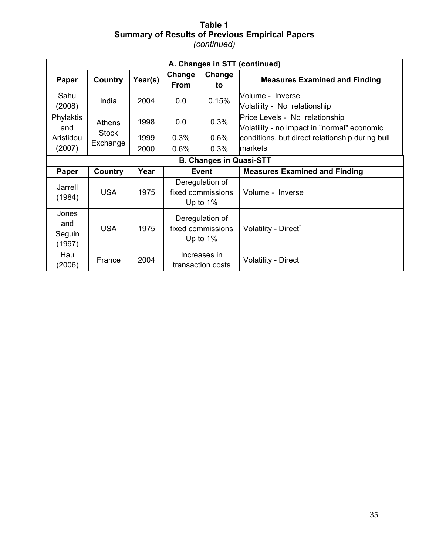#### **Table 1 Summary of Results of Previous Empirical Papers**  *(continued)*

|                                  |                          |         |                                                     |                                                     | A. Changes in STT (continued)                                                 |
|----------------------------------|--------------------------|---------|-----------------------------------------------------|-----------------------------------------------------|-------------------------------------------------------------------------------|
| Paper                            | Country                  | Year(s) | Change<br><b>From</b>                               | Change<br>to                                        | <b>Measures Examined and Finding</b>                                          |
| Sahu<br>(2008)                   | India                    | 2004    | 0.0                                                 | 0.15%                                               | Volume - Inverse<br>Volatility - No relationship                              |
| Phylaktis<br>and                 | Athens                   | 1998    | 0.3%<br>0.0                                         |                                                     | Price Levels - No relationship<br>Volatility - no impact in "normal" economic |
| Aristidou                        | <b>Stock</b><br>Exchange | 1999    | 0.3%                                                | 0.6%                                                | conditions, but direct relationship during bull                               |
| (2007)                           |                          | 2000    | 0.6%                                                | 0.3%                                                | markets                                                                       |
|                                  |                          |         |                                                     | <b>B. Changes in Quasi-STT</b>                      |                                                                               |
| Paper                            | Country                  | Year    |                                                     | <b>Event</b>                                        | <b>Measures Examined and Finding</b>                                          |
| Jarrell<br>(1984)                | <b>USA</b>               | 1975    |                                                     | Deregulation of<br>fixed commissions<br>Up to $1\%$ | Volume - Inverse                                                              |
| Jones<br>and<br>Seguin<br>(1997) | <b>USA</b>               | 1975    | Deregulation of<br>fixed commissions<br>Up to $1\%$ |                                                     | Volatility - Direct*                                                          |
| Hau<br>(2006)                    | France                   | 2004    |                                                     | Increases in<br>transaction costs                   | <b>Volatility - Direct</b>                                                    |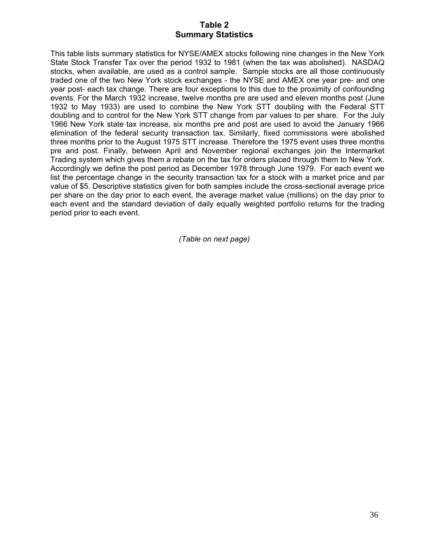#### **Table 2 Summary Statistics**

This table lists summary statistics for NYSE/AMEX stocks following nine changes in the New York State Stock Transfer Tax over the period 1932 to 1981 (when the tax was abolished). NASDAQ stocks, when available, are used as a control sample. Sample stocks are all those continuously traded one of the two New York stock exchanges - the NYSE and AMEX one year pre- and one year post- each tax change. There are four exceptions to this due to the proximity of confounding events. For the March 1932 increase, twelve months pre are used and eleven months post (June 1932 to May 1933) are used to combine the New York STT doubling with the Federal STT doubling and to control for the New York STT change from par values to per share. For the July 1966 New York state tax increase, six months pre and post are used to avoid the January 1966 elimination of the federal security transaction tax. Similarly, fixed commissions were abolished three months prior to the August 1975 STT increase. Therefore the 1975 event uses three months pre and post. Finally, between April and November regional exchanges join the Intermarket Trading system which gives them a rebate on the tax for orders placed through them to New York. Accordingly we define the post period as December 1978 through June 1979. For each event we list the percentage change in the security transaction tax for a stock with a market price and par value of \$5. Descriptive statistics given for both samples include the cross-sectional average price per share on the day prior to each event, the average market value (millions) on the day prior to each event and the standard deviation of daily equally weighted portfolio returns for the trading period prior to each event.

*(Table on next page)*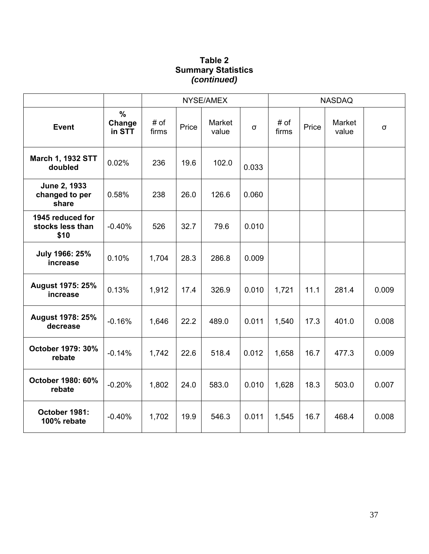## **Table 2 Summary Statistics**  *(continued)*

|                                              |                                   |               |       | NYSE/AMEX       |          |               |       | <b>NASDAQ</b>   |          |
|----------------------------------------------|-----------------------------------|---------------|-------|-----------------|----------|---------------|-------|-----------------|----------|
| <b>Event</b>                                 | $\frac{0}{0}$<br>Change<br>in STT | # of<br>firms | Price | Market<br>value | $\sigma$ | # of<br>firms | Price | Market<br>value | $\sigma$ |
| <b>March 1, 1932 STT</b><br>doubled          | 0.02%                             | 236           | 19.6  | 102.0           | 0.033    |               |       |                 |          |
| June 2, 1933<br>changed to per<br>share      | 0.58%                             | 238           | 26.0  | 126.6           | 0.060    |               |       |                 |          |
| 1945 reduced for<br>stocks less than<br>\$10 | $-0.40%$                          | 526           | 32.7  | 79.6            | 0.010    |               |       |                 |          |
| July 1966: 25%<br>increase                   | 0.10%                             | 1,704         | 28.3  | 286.8           | 0.009    |               |       |                 |          |
| <b>August 1975: 25%</b><br>increase          | 0.13%                             | 1,912         | 17.4  | 326.9           | 0.010    | 1,721         | 11.1  | 281.4           | 0.009    |
| <b>August 1978: 25%</b><br>decrease          | $-0.16%$                          | 1,646         | 22.2  | 489.0           | 0.011    | 1,540         | 17.3  | 401.0           | 0.008    |
| October 1979: 30%<br>rebate                  | $-0.14%$                          | 1,742         | 22.6  | 518.4           | 0.012    | 1,658         | 16.7  | 477.3           | 0.009    |
| October 1980: 60%<br>rebate                  | $-0.20%$                          | 1,802         | 24.0  | 583.0           | 0.010    | 1,628         | 18.3  | 503.0           | 0.007    |
| October 1981:<br>100% rebate                 | $-0.40%$                          | 1,702         | 19.9  | 546.3           | 0.011    | 1,545         | 16.7  | 468.4           | 0.008    |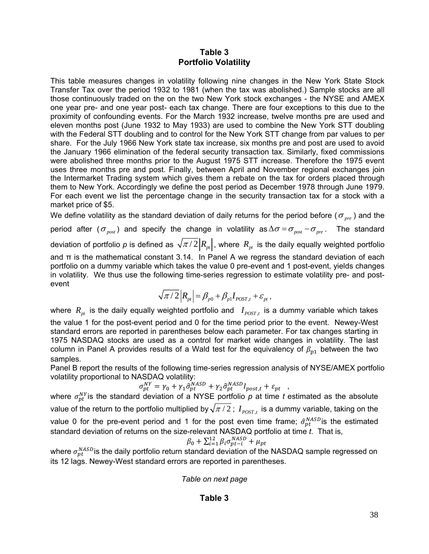#### **Table 3 Portfolio Volatility**

This table measures changes in volatility following nine changes in the New York State Stock Transfer Tax over the period 1932 to 1981 (when the tax was abolished.) Sample stocks are all those continuously traded on the on the two New York stock exchanges - the NYSE and AMEX one year pre- and one year post- each tax change. There are four exceptions to this due to the proximity of confounding events. For the March 1932 increase, twelve months pre are used and eleven months post (June 1932 to May 1933) are used to combine the New York STT doubling with the Federal STT doubling and to control for the New York STT change from par values to per share. For the July 1966 New York state tax increase, six months pre and post are used to avoid the January 1966 elimination of the federal security transaction tax. Similarly, fixed commissions were abolished three months prior to the August 1975 STT increase. Therefore the 1975 event uses three months pre and post. Finally, between April and November regional exchanges join the Intermarket Trading system which gives them a rebate on the tax for orders placed through them to New York. Accordingly we define the post period as December 1978 through June 1979. For each event we list the percentage change in the security transaction tax for a stock with a market price of \$5.

We define volatility as the standard deviation of daily returns for the period before ( $\sigma_{_{pre}}$ ) and the period after ( $\sigma_{post}$ ) and specify the change in volatility as  $\Delta \sigma = \sigma_{post} - \sigma_{pre}$ . The standard deviation of portfolio  $\rho$  is defined as  $\sqrt{\pi/2}\bigl|R_{_{pt}}\bigr|$  , where  $\,R_{_{pt}}\,$  is the daily equally weighted portfolio and  $\pi$  is the mathematical constant 3.14. In Panel A we regress the standard deviation of each portfolio on a dummy variable which takes the value 0 pre-event and 1 post-event, yields changes in volatility. We thus use the following time-series regression to estimate volatility pre- and postevent

$$
\sqrt{\pi/2}|R_{pt}| = \beta_{p0} + \beta_{p1}I_{POST,t} + \varepsilon_{pt},
$$

where  $R_{pt}$  is the daily equally weighted portfolio and  $I_{POST,t}$  is a dummy variable which takes the value 1 for the post-event period and 0 for the time period prior to the event. Newey-West standard errors are reported in parentheses below each parameter. For tax changes starting in 1975 NASDAQ stocks are used as a control for market wide changes in volatility. The last column in Panel A provides results of a Wald test for the equivalency of  $\beta_{p1}$  between the two samples.

Panel B report the results of the following time-series regression analysis of NYSE/AMEX portfolio volatility proportional to NASDAQ volatility:

$$
\sigma_{pt}^{NY} = \gamma_0 + \gamma_1 \hat{\sigma}_{pt}^{NASD} + \gamma_2 \hat{\sigma}_{pt}^{NASD} I_{post,t} + \varepsilon_{pt} ,
$$

where  $\sigma_{pt}^{NY}$  is the standard deviation of a NYSE portfolio  $p$  at time *t* estimated as the absolute value of the return to the portfolio multiplied by  $\sqrt{\pi/2}$ ;  $I_{postr}$  is a dummy variable, taking on the value 0 for the pre-event period and 1 for the post even time frame;  $\hat{\sigma}_{pt}^{NASD}$  is the estimated standard deviation of returns on the size-relevant NASDAQ portfolio at time *t*. That is,

$$
\beta_0 + \sum_{i=1}^{12} \beta_i \sigma_{pt-i}^{NASD} + \mu_{pt}
$$

where  $\sigma^{NASD}_{pt}$ is the daily portfolio return standard deviation of the NASDAQ sample regressed on its 12 lags. Newey-West standard errors are reported in parentheses.

*Table on next page* 

#### **Table 3**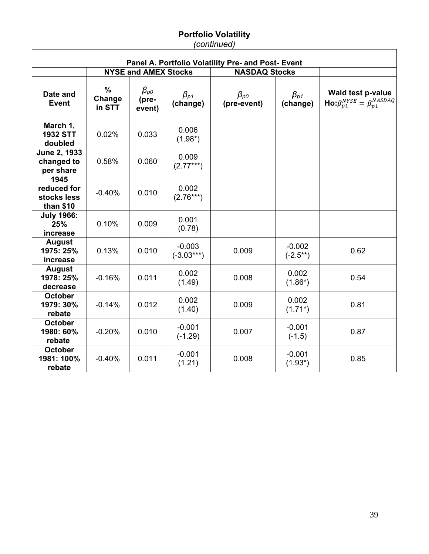#### **Portfolio Volatility**  *(continued)*

|                                                 | Panel A. Portfolio Volatility Pre- and Post- Event |                                                        |                                   |                                                         |                           |                                                                                 |  |  |  |  |  |
|-------------------------------------------------|----------------------------------------------------|--------------------------------------------------------|-----------------------------------|---------------------------------------------------------|---------------------------|---------------------------------------------------------------------------------|--|--|--|--|--|
|                                                 |                                                    | <b>NYSE and AMEX Stocks</b>                            |                                   | <b>NASDAQ Stocks</b>                                    |                           |                                                                                 |  |  |  |  |  |
| Date and<br><b>Event</b>                        | %<br>Change<br>in STT                              | $\beta_{\scriptscriptstyle \rm DO}$<br>(pre-<br>event) | $\beta_{\textit{d1}}$<br>(change) | $\beta_{\scriptscriptstyle \mathcal{D}}$<br>(pre-event) | $\beta_{p1}$<br>(change)  | <b>Wald test p-value</b><br>$\text{Ho:}\beta_{p1}^{NYSE} = \beta_{p1}^{NASDAQ}$ |  |  |  |  |  |
| March 1,<br><b>1932 STT</b><br>doubled          | 0.02%                                              | 0.033                                                  | 0.006<br>$(1.98*)$                |                                                         |                           |                                                                                 |  |  |  |  |  |
| June 2, 1933<br>changed to<br>per share         | 0.58%                                              | 0.060                                                  | 0.009<br>$(2.77***)$              |                                                         |                           |                                                                                 |  |  |  |  |  |
| 1945<br>reduced for<br>stocks less<br>than \$10 | $-0.40%$                                           | 0.010                                                  | 0.002<br>$(2.76***)$              |                                                         |                           |                                                                                 |  |  |  |  |  |
| <b>July 1966:</b><br>25%<br>increase            | 0.10%                                              | 0.009                                                  | 0.001<br>(0.78)                   |                                                         |                           |                                                                                 |  |  |  |  |  |
| <b>August</b><br>1975: 25%<br>increase          | 0.13%                                              | 0.010                                                  | $-0.003$<br>$(-3.03***)$          | 0.009                                                   | $-0.002$<br>$(-2.5^{**})$ | 0.62                                                                            |  |  |  |  |  |
| <b>August</b><br>1978: 25%<br>decrease          | $-0.16%$                                           | 0.011                                                  | 0.002<br>(1.49)                   | 0.008                                                   | 0.002<br>$(1.86^*)$       | 0.54                                                                            |  |  |  |  |  |
| <b>October</b><br>1979: 30%<br>rebate           | $-0.14%$                                           | 0.012                                                  | 0.002<br>(1.40)                   | 0.009                                                   | 0.002<br>$(1.71^{*})$     | 0.81                                                                            |  |  |  |  |  |
| <b>October</b><br>1980: 60%<br>rebate           | $-0.20%$                                           | 0.010                                                  | $-0.001$<br>$(-1.29)$             | 0.007                                                   | $-0.001$<br>$(-1.5)$      | 0.87                                                                            |  |  |  |  |  |
| <b>October</b><br>1981: 100%<br>rebate          | $-0.40%$                                           | 0.011                                                  | $-0.001$<br>(1.21)                | 0.008                                                   | $-0.001$<br>$(1.93*)$     | 0.85                                                                            |  |  |  |  |  |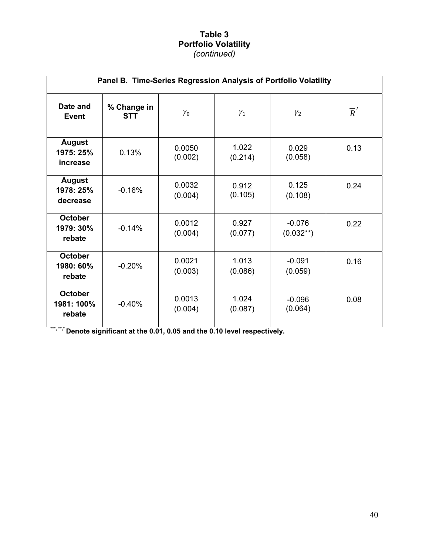### **Table 3 Portfolio Volatility**  *(continued)*

|                                        | Panel B. Time-Series Regression Analysis of Portfolio Volatility |                   |                  |                         |                  |  |  |  |  |  |
|----------------------------------------|------------------------------------------------------------------|-------------------|------------------|-------------------------|------------------|--|--|--|--|--|
| Date and<br><b>Event</b>               | % Change in<br><b>STT</b>                                        | $\gamma_0$        | $\gamma_1$       | $\gamma_2$              | $\overline{R}^2$ |  |  |  |  |  |
| <b>August</b><br>1975: 25%<br>increase | 0.13%                                                            | 0.0050<br>(0.002) | 1.022<br>(0.214) | 0.029<br>(0.058)        | 0.13             |  |  |  |  |  |
| <b>August</b><br>1978: 25%<br>decrease | $-0.16%$                                                         | 0.0032<br>(0.004) | 0.912<br>(0.105) | 0.125<br>(0.108)        | 0.24             |  |  |  |  |  |
| <b>October</b><br>1979: 30%<br>rebate  | $-0.14%$                                                         | 0.0012<br>(0.004) | 0.927<br>(0.077) | $-0.076$<br>$(0.032**)$ | 0.22             |  |  |  |  |  |
| <b>October</b><br>1980: 60%<br>rebate  | $-0.20%$                                                         | 0.0021<br>(0.003) | 1.013<br>(0.086) | $-0.091$<br>(0.059)     | 0.16             |  |  |  |  |  |
| <b>October</b><br>1981: 100%<br>rebate | $-0.40%$                                                         | 0.0013<br>(0.004) | 1.024<br>(0.087) | $-0.096$<br>(0.064)     | 0.08             |  |  |  |  |  |

**\*\*\*, \*\*,\* Denote significant at the 0.01, 0.05 and the 0.10 level respectively.**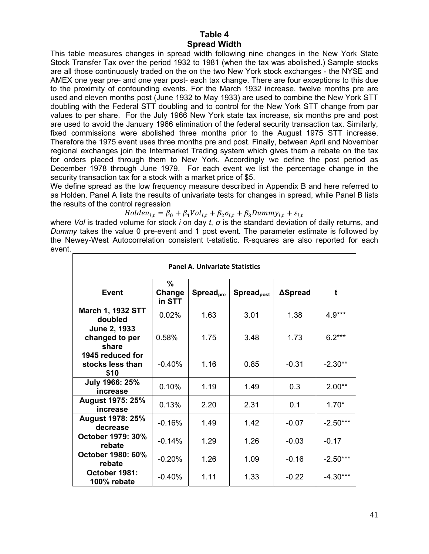#### **Table 4 Spread Width**

This table measures changes in spread width following nine changes in the New York State Stock Transfer Tax over the period 1932 to 1981 (when the tax was abolished.) Sample stocks are all those continuously traded on the on the two New York stock exchanges - the NYSE and AMEX one year pre- and one year post- each tax change. There are four exceptions to this due to the proximity of confounding events. For the March 1932 increase, twelve months pre are used and eleven months post (June 1932 to May 1933) are used to combine the New York STT doubling with the Federal STT doubling and to control for the New York STT change from par values to per share. For the July 1966 New York state tax increase, six months pre and post are used to avoid the January 1966 elimination of the federal security transaction tax. Similarly, fixed commissions were abolished three months prior to the August 1975 STT increase. Therefore the 1975 event uses three months pre and post. Finally, between April and November regional exchanges join the Intermarket Trading system which gives them a rebate on the tax for orders placed through them to New York. Accordingly we define the post period as December 1978 through June 1979. For each event we list the percentage change in the security transaction tax for a stock with a market price of \$5.

We define spread as the low frequency measure described in Appendix B and here referred to as Holden. Panel A lists the results of univariate tests for changes in spread, while Panel B lists the results of the control regression

 $Holden_{i,t} = \beta_0 + \beta_1 Vol_{i,t} + \beta_2 \sigma_{i,t} + \beta_3 Dummy_{i,t} + \varepsilon_{i,t}$ 

where *Vol* is traded volume for stock *i* on day *t*, *σ* is the standard deviation of daily returns, and *Dummy* takes the value 0 pre-event and 1 post event. The parameter estimate is followed by the Newey-West Autocorrelation consistent t-statistic. R-squares are also reported for each event.

| <b>Panel A. Univariate Statistics</b>        |                       |                              |                               |         |            |  |  |  |
|----------------------------------------------|-----------------------|------------------------------|-------------------------------|---------|------------|--|--|--|
| Event                                        | %<br>Change<br>in STT | <b>Spread</b> <sub>pre</sub> | <b>Spread</b> <sub>post</sub> | ∆Spread | t          |  |  |  |
| <b>March 1, 1932 STT</b><br>doubled          | 0.02%                 | 1.63                         | 3.01                          | 1.38    | $4.9***$   |  |  |  |
| June 2, 1933<br>changed to per<br>share      | 0.58%                 | 1.75                         | 3.48                          | 1.73    | $6.2***$   |  |  |  |
| 1945 reduced for<br>stocks less than<br>\$10 | $-0.40%$              | 1.16                         | 0.85                          | $-0.31$ | $-2.30**$  |  |  |  |
| July 1966: 25%<br>increase                   | 0.10%                 | 1.19                         | 1.49                          | 0.3     | $2.00**$   |  |  |  |
| <b>August 1975: 25%</b><br>increase          | 0.13%                 | 2.20                         | 2.31                          | 0.1     | $1.70*$    |  |  |  |
| <b>August 1978: 25%</b><br>decrease          | $-0.16%$              | 1.49                         | 1.42                          | $-0.07$ | $-2.50***$ |  |  |  |
| October 1979: 30%<br>rebate                  | $-0.14%$              | 1.29                         | 1.26                          | $-0.03$ | $-0.17$    |  |  |  |
| October 1980: 60%<br>rebate                  | $-0.20%$              | 1.26                         | 1.09                          | $-0.16$ | $-2.50***$ |  |  |  |
| October 1981:<br>100% rebate                 | $-0.40%$              | 1.11                         | 1.33                          | $-0.22$ | $-4.30***$ |  |  |  |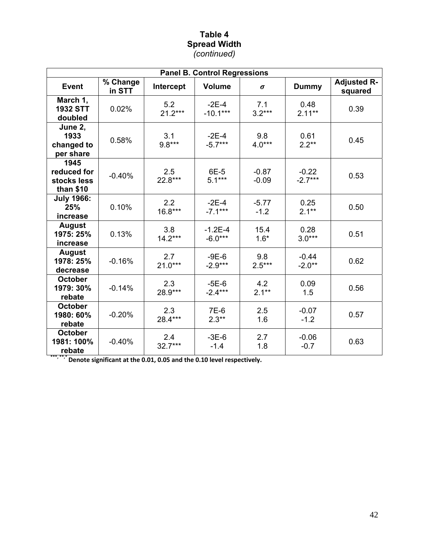### **Table 4 Spread Width**  *(continued)*

| <b>Panel B. Control Regressions</b>             |                    |                  |                        |                    |                      |                               |  |  |
|-------------------------------------------------|--------------------|------------------|------------------------|--------------------|----------------------|-------------------------------|--|--|
| <b>Event</b>                                    | % Change<br>in STT | Intercept        | <b>Volume</b>          | σ                  | <b>Dummy</b>         | <b>Adjusted R-</b><br>squared |  |  |
| March 1,<br><b>1932 STT</b><br>doubled          | 0.02%              | 5.2<br>$21.2***$ | $-2E-4$<br>$-10.1***$  | 7.1<br>$3.2***$    | 0.48<br>$2.11***$    | 0.39                          |  |  |
| June 2,<br>1933<br>changed to<br>per share      | 0.58%              | 3.1<br>$9.8***$  | $-2E-4$<br>$-5.7***$   | 9.8<br>$4.0***$    | 0.61<br>$2.2**$      | 0.45                          |  |  |
| 1945<br>reduced for<br>stocks less<br>than \$10 | $-0.40%$           | 2.5<br>22.8***   | 6E-5<br>$5.1***$       | $-0.87$<br>$-0.09$ | $-0.22$<br>$-2.7***$ | 0.53                          |  |  |
| <b>July 1966:</b><br>25%<br>increase            | 0.10%              | 2.2<br>$16.8***$ | $-2E-4$<br>$-7.1***$   | $-5.77$<br>$-1.2$  | 0.25<br>$2.1**$      | 0.50                          |  |  |
| <b>August</b><br>1975: 25%<br>increase          | 0.13%              | 3.8<br>$14.2***$ | $-1.2E-4$<br>$-6.0***$ | 15.4<br>$1.6*$     | 0.28<br>$3.0***$     | 0.51                          |  |  |
| <b>August</b><br>1978: 25%<br>decrease          | $-0.16%$           | 2.7<br>$21.0***$ | $-9E-6$<br>$-2.9***$   | 9.8<br>$2.5***$    | $-0.44$<br>$-2.0**$  | 0.62                          |  |  |
| <b>October</b><br>1979: 30%<br>rebate           | $-0.14%$           | 2.3<br>28.9***   | $-5E-6$<br>$-2.4***$   | 4.2<br>$2.1***$    | 0.09<br>1.5          | 0.56                          |  |  |
| <b>October</b><br>1980: 60%<br>rebate           | $-0.20%$           | 2.3<br>28.4***   | 7E-6<br>$2.3**$        | 2.5<br>1.6         | $-0.07$<br>$-1.2$    | 0.57                          |  |  |
| <b>October</b><br>1981: 100%<br>rebate          | $-0.40%$           | 2.4<br>$32.7***$ | $-3E-6$<br>$-1.4$      | 2.7<br>1.8         | $-0.06$<br>$-0.7$    | 0.63                          |  |  |

**\*\*\*, \*\*,\*Denote significant at the 0.01, 0.05 and the 0.10 level respectively.**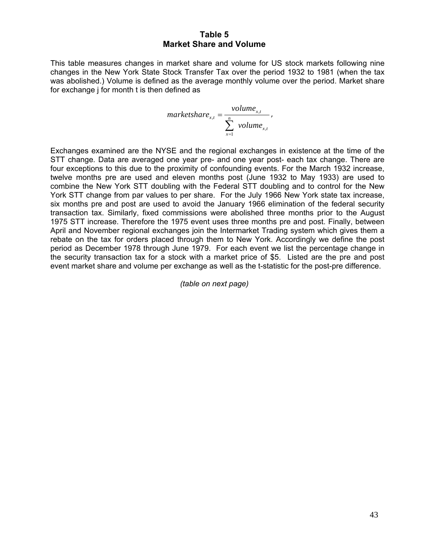This table measures changes in market share and volume for US stock markets following nine changes in the New York State Stock Transfer Tax over the period 1932 to 1981 (when the tax was abolished.) Volume is defined as the average monthly volume over the period. Market share for exchange j for month t is then defined as

$$
marketshare_{x,t} = \frac{volume_{x,t}}{\sum_{x=1}^{n} volume_{x,t}},
$$

Exchanges examined are the NYSE and the regional exchanges in existence at the time of the STT change. Data are averaged one year pre- and one year post- each tax change. There are four exceptions to this due to the proximity of confounding events. For the March 1932 increase, twelve months pre are used and eleven months post (June 1932 to May 1933) are used to combine the New York STT doubling with the Federal STT doubling and to control for the New York STT change from par values to per share. For the July 1966 New York state tax increase, six months pre and post are used to avoid the January 1966 elimination of the federal security transaction tax. Similarly, fixed commissions were abolished three months prior to the August 1975 STT increase. Therefore the 1975 event uses three months pre and post. Finally, between April and November regional exchanges join the Intermarket Trading system which gives them a rebate on the tax for orders placed through them to New York. Accordingly we define the post period as December 1978 through June 1979. For each event we list the percentage change in the security transaction tax for a stock with a market price of \$5. Listed are the pre and post event market share and volume per exchange as well as the t-statistic for the post-pre difference.

*(table on next page)*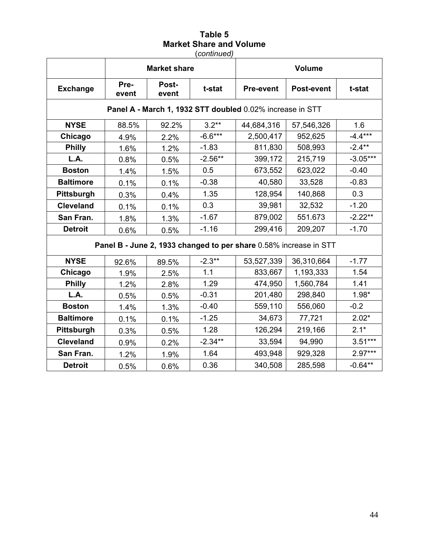(*continued)* 

|                  |                                                           | <b>Market share</b> |           |                                                                   | Volume            |            |  |  |  |
|------------------|-----------------------------------------------------------|---------------------|-----------|-------------------------------------------------------------------|-------------------|------------|--|--|--|
| <b>Exchange</b>  | Pre-<br>event                                             | Post-<br>event      | t-stat    | <b>Pre-event</b>                                                  | <b>Post-event</b> | t-stat     |  |  |  |
|                  | Panel A - March 1, 1932 STT doubled 0.02% increase in STT |                     |           |                                                                   |                   |            |  |  |  |
| <b>NYSE</b>      | 88.5%                                                     | 92.2%               | $3.2**$   | 44,684,316                                                        | 57,546,326        | 1.6        |  |  |  |
| Chicago          | 4.9%                                                      | 2.2%                | $-6.6***$ | 2,500,417                                                         | 952,625           | $-4.4***$  |  |  |  |
| <b>Philly</b>    | 1.6%                                                      | 1.2%                | $-1.83$   | 811,830                                                           | 508,993           | $-2.4***$  |  |  |  |
| L.A.             | 0.8%                                                      | 0.5%                | $-2.56**$ | 399,172                                                           | 215,719           | $-3.05***$ |  |  |  |
| <b>Boston</b>    | 1.4%                                                      | 1.5%                | 0.5       | 673,552                                                           | 623,022           | $-0.40$    |  |  |  |
| <b>Baltimore</b> | 0.1%                                                      | 0.1%                | $-0.38$   | 40,580                                                            | 33,528            | $-0.83$    |  |  |  |
| Pittsburgh       | 0.3%                                                      | 0.4%                | 1.35      | 128,954                                                           | 140,868           | 0.3        |  |  |  |
| <b>Cleveland</b> | 0.1%                                                      | 0.1%                | 0.3       | 39,981                                                            | 32,532            | $-1.20$    |  |  |  |
| San Fran.        | 1.8%                                                      | 1.3%                | $-1.67$   | 879,002                                                           | 551.673           | $-2.22**$  |  |  |  |
| <b>Detroit</b>   | 0.6%                                                      | 0.5%                | $-1.16$   | 299,416                                                           | 209,207           | $-1.70$    |  |  |  |
|                  |                                                           |                     |           | Panel B - June 2, 1933 changed to per share 0.58% increase in STT |                   |            |  |  |  |
| <b>NYSE</b>      | 92.6%                                                     | 89.5%               | $-2.3**$  | 53,527,339                                                        | 36,310,664        | $-1.77$    |  |  |  |
| Chicago          | 1.9%                                                      | 2.5%                | 1.1       | 833,667                                                           | 1,193,333         | 1.54       |  |  |  |
| <b>Philly</b>    | 1.2%                                                      | 2.8%                | 1.29      | 474,950                                                           | 1,560,784         | 1.41       |  |  |  |
| L.A.             | 0.5%                                                      | 0.5%                | $-0.31$   | 201,480                                                           | 298,840           | $1.98*$    |  |  |  |
| <b>Boston</b>    | 1.4%                                                      | 1.3%                | $-0.40$   | 559,110                                                           | 556,060           | $-0.2$     |  |  |  |
| <b>Baltimore</b> | 0.1%                                                      | 0.1%                | $-1.25$   | 34,673                                                            | 77,721            | $2.02*$    |  |  |  |
| Pittsburgh       | 0.3%                                                      | 0.5%                | 1.28      | 126,294                                                           | 219,166           | $2.1*$     |  |  |  |
| <b>Cleveland</b> | 0.9%                                                      | 0.2%                | $-2.34**$ | 33,594                                                            | 94,990            | $3.51***$  |  |  |  |
| San Fran.        | 1.2%                                                      | 1.9%                | 1.64      | 493,948                                                           | 929,328           | $2.97***$  |  |  |  |
| <b>Detroit</b>   | 0.5%                                                      | 0.6%                | 0.36      | 340,508                                                           | 285,598           | $-0.64**$  |  |  |  |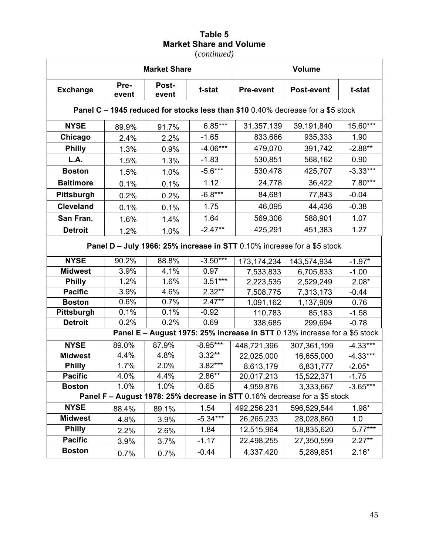(*continued)* 

|                                                                         |               | <b>Market Share</b> |            | <b>Volume</b>    |                                                                                 |            |  |
|-------------------------------------------------------------------------|---------------|---------------------|------------|------------------|---------------------------------------------------------------------------------|------------|--|
| <b>Exchange</b>                                                         | Pre-<br>event | Post-<br>event      | t-stat     | <b>Pre-event</b> | <b>Post-event</b>                                                               | t-stat     |  |
|                                                                         |               |                     |            |                  | Panel C - 1945 reduced for stocks less than \$10 0.40% decrease for a \$5 stock |            |  |
| <b>NYSE</b>                                                             | 89.9%         | 91.7%               | $6.85***$  | 31,357,139       | 39,191,840                                                                      | 15.60***   |  |
| Chicago                                                                 | 2.4%          | 2.2%                | $-1.65$    | 833,666          | 935,333                                                                         | 1.90       |  |
| <b>Philly</b>                                                           | 1.3%          | 0.9%                | $-4.06***$ | 479,070          | 391,742                                                                         | $-2.88**$  |  |
| L.A.                                                                    | 1.5%          | 1.3%                | $-1.83$    | 530,851          | 568,162                                                                         | 0.90       |  |
| <b>Boston</b>                                                           | 1.5%          | 1.0%                | $-5.6***$  | 530,478          | 425,707                                                                         | $-3.33***$ |  |
| <b>Baltimore</b>                                                        | 0.1%          | 0.1%                | 1.12       | 24,778           | 36,422                                                                          | 7.80***    |  |
| Pittsburgh                                                              | 0.2%          | 0.2%                | $-6.8***$  | 84,681           | 77,843                                                                          | $-0.04$    |  |
| <b>Cleveland</b>                                                        | 0.1%          | 0.1%                | 1.75       | 46,095           | 44,436                                                                          | $-0.38$    |  |
| San Fran.                                                               | 1.6%          | 1.4%                | 1.64       | 569,306          | 588,901                                                                         | 1.07       |  |
| <b>Detroit</b>                                                          | 1.2%          | 1.0%                | $-2.47**$  | 425,291          | 451,383                                                                         | 1.27       |  |
| Panel D - July 1966: 25% increase in STT 0.10% increase for a \$5 stock |               |                     |            |                  |                                                                                 |            |  |
|                                                                         |               |                     |            |                  |                                                                                 |            |  |
| <b>NYSE</b>                                                             | 90.2%         | 88.8%               | $-3.50***$ | 173, 174, 234    | 143,574,934                                                                     | $-1.97*$   |  |
| <b>Midwest</b>                                                          | 3.9%          | 4.1%                | 0.97       | 7,533,833        | 6,705,833                                                                       | $-1.00$    |  |
| <b>Philly</b>                                                           | 1.2%          | 1.6%                | $3.51***$  | 2,223,535        | 2,529,249                                                                       | $2.08*$    |  |
| <b>Pacific</b>                                                          | 3.9%          | 4.6%                | $2.32**$   | 7,508,775        | 7,313,173                                                                       | $-0.44$    |  |
| <b>Boston</b>                                                           | 0.6%          | 0.7%                | $2.47**$   | 1,091,162        | 1,137,909                                                                       | 0.76       |  |
| Pittsburgh                                                              | 0.1%          | 0.1%                | $-0.92$    | 110,783          | 85,183                                                                          | $-1.58$    |  |
| <b>Detroit</b>                                                          | 0.2%          | 0.2%                | 0.69       | 338,685          | 299,694                                                                         | $-0.78$    |  |
|                                                                         |               |                     |            |                  | Panel E - August 1975: 25% increase in STT 0.13% increase for a \$5 stock       |            |  |
| <b>NYSE</b>                                                             | 89.0%         | 87.9%               | $-8.95***$ | 448,721,396      | 307,361,199                                                                     | $-4.33***$ |  |
| <b>Midwest</b>                                                          | 4.4%          | 4.8%                | $3.32**$   | 22,025,000       | 16,655,000                                                                      | $-4.33***$ |  |
| <b>Philly</b>                                                           | 1.7%          | 2.0%                | $3.82***$  | 8,613,179        | 6,831,777                                                                       | $-2.05*$   |  |
| <b>Pacific</b>                                                          | 4.0%          | 4.4%                | $2.86**$   | 20,017,213       | 15,522,371                                                                      | $-1.75$    |  |
| <b>Boston</b>                                                           | 1.0%          | 1.0%                | $-0.65$    | 4,959,876        | 3,333,667                                                                       | $-3.65***$ |  |
|                                                                         |               |                     |            |                  | Panel F - August 1978: 25% decrease in STT 0.16% decrease for a \$5 stock       |            |  |
| <b>NYSE</b>                                                             | 88.4%         | 89.1%               | 1.54       | 492,256,231      | 596,529,544                                                                     | $1.98*$    |  |
| <b>Midwest</b>                                                          | 4.8%          | 3.9%                | $-5.34***$ | 26,265,233       | 28,028,860                                                                      | 1.0        |  |
| <b>Philly</b>                                                           | 2.2%          | 2.6%                | 1.84       | 12,515,964       | 18,835,620                                                                      | $5.77***$  |  |
| <b>Pacific</b>                                                          | 3.9%          | 3.7%                | $-1.17$    | 22,498,255       | 27,350,599                                                                      | $2.27**$   |  |
| <b>Boston</b>                                                           | 0.7%          | 0.7%                | $-0.44$    | 4,337,420        | 5,289,851                                                                       | $2.16*$    |  |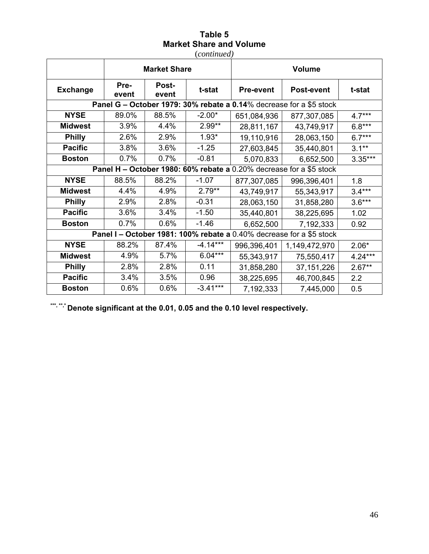(*continued)* 

|                 |                                                                     | <b>Market Share</b> |            |                  | <b>Volume</b>                                                        |           |  |  |
|-----------------|---------------------------------------------------------------------|---------------------|------------|------------------|----------------------------------------------------------------------|-----------|--|--|
| <b>Exchange</b> | Pre-<br>event                                                       | Post-<br>event      | t-stat     | <b>Pre-event</b> | <b>Post-event</b>                                                    | t-stat    |  |  |
|                 | Panel G – October 1979: 30% rebate a 0.14% decrease for a \$5 stock |                     |            |                  |                                                                      |           |  |  |
| <b>NYSE</b>     | 89.0%                                                               | 88.5%               | $-2.00*$   | 651,084,936      | 877,307,085                                                          | $4.7***$  |  |  |
| <b>Midwest</b>  | 3.9%                                                                | 4.4%                | $2.99**$   | 28,811,167       | 43,749,917                                                           | $6.8***$  |  |  |
| <b>Philly</b>   | 2.6%                                                                | 2.9%                | $1.93*$    | 19,110,916       | 28,063,150                                                           | $6.7***$  |  |  |
| <b>Pacific</b>  | 3.8%                                                                | 3.6%                | $-1.25$    | 27,603,845       | 35,440,801                                                           | $3.1**$   |  |  |
| <b>Boston</b>   | 0.7%                                                                | 0.7%                | $-0.81$    | 5,070,833        | 6,652,500                                                            | $3.35***$ |  |  |
|                 | Panel H - October 1980: 60% rebate a 0.20% decrease for a \$5 stock |                     |            |                  |                                                                      |           |  |  |
| <b>NYSE</b>     | 88.5%                                                               | 88.2%               | $-1.07$    | 877,307,085      | 996,396,401                                                          | 1.8       |  |  |
| <b>Midwest</b>  | 4.4%                                                                | 4.9%                | $2.79**$   | 43,749,917       | 55,343,917                                                           | $3.4***$  |  |  |
| <b>Philly</b>   | 2.9%                                                                | 2.8%                | $-0.31$    | 28,063,150       | 31,858,280                                                           | $3.6***$  |  |  |
| <b>Pacific</b>  | 3.6%                                                                | 3.4%                | $-1.50$    | 35,440,801       | 38,225,695                                                           | 1.02      |  |  |
| <b>Boston</b>   | 0.7%                                                                | 0.6%                | $-1.46$    | 6,652,500        | 7,192,333                                                            | 0.92      |  |  |
|                 |                                                                     |                     |            |                  | Panel I - October 1981: 100% rebate a 0.40% decrease for a \$5 stock |           |  |  |
| <b>NYSE</b>     | 88.2%                                                               | 87.4%               | $-4.14***$ | 996,396,401      | 1,149,472,970                                                        | $2.06*$   |  |  |
| <b>Midwest</b>  | 4.9%                                                                | 5.7%                | $6.04***$  | 55,343,917       | 75,550,417                                                           | $4.24***$ |  |  |
| <b>Philly</b>   | 2.8%                                                                | 2.8%                | 0.11       | 31,858,280       | 37, 151, 226                                                         | $2.67**$  |  |  |
| <b>Pacific</b>  | 3.4%                                                                | 3.5%                | 0.96       | 38,225,695       | 46,700,845                                                           | 2.2       |  |  |
| <b>Boston</b>   | 0.6%                                                                | 0.6%                | $-3.41***$ | 7,192,333        | 7,445,000                                                            | 0.5       |  |  |

**\*\*\*, \*\*,\* Denote significant at the 0.01, 0.05 and the 0.10 level respectively.**